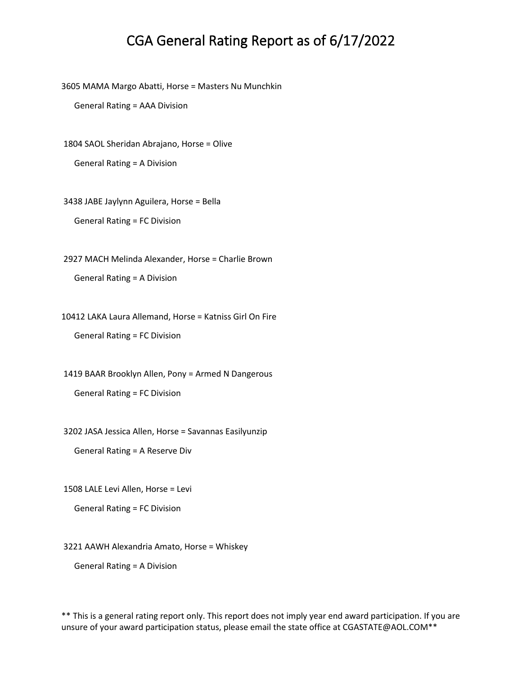3605 MAMA Margo Abatti, Horse = Masters Nu Munchkin

General Rating = AAA Division

1804 SAOL Sheridan Abrajano, Horse = Olive

General Rating = A Division

3438 JABE Jaylynn Aguilera, Horse = Bella General Rating = FC Division

2927 MACH Melinda Alexander, Horse = Charlie Brown

General Rating = A Division

10412 LAKA Laura Allemand, Horse = Katniss Girl On Fire

General Rating = FC Division

1419 BAAR Brooklyn Allen, Pony = Armed N Dangerous

General Rating = FC Division

3202 JASA Jessica Allen, Horse = Savannas Easilyunzip

General Rating = A Reserve Div

1508 LALE Levi Allen, Horse = Levi

General Rating = FC Division

3221 AAWH Alexandria Amato, Horse = Whiskey

General Rating = A Division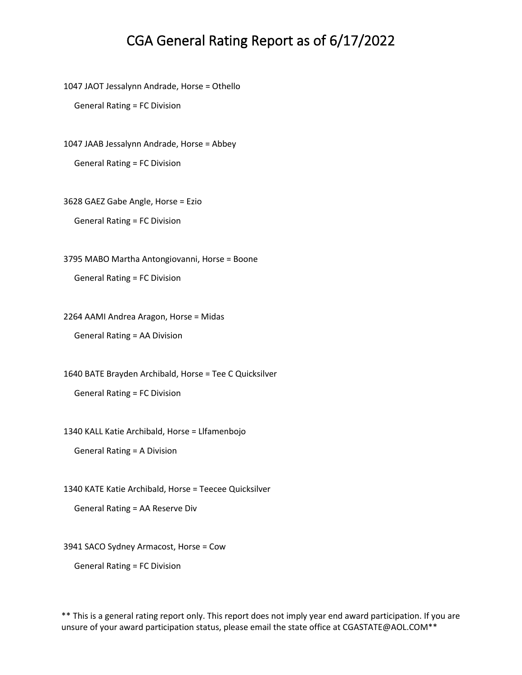1047 JAOT Jessalynn Andrade, Horse = Othello

General Rating = FC Division

1047 JAAB Jessalynn Andrade, Horse = Abbey General Rating = FC Division

3628 GAEZ Gabe Angle, Horse = Ezio

General Rating = FC Division

3795 MABO Martha Antongiovanni, Horse = Boone

General Rating = FC Division

2264 AAMI Andrea Aragon, Horse = Midas

General Rating = AA Division

1640 BATE Brayden Archibald, Horse = Tee C Quicksilver

General Rating = FC Division

1340 KALL Katie Archibald, Horse = Llfamenbojo

General Rating = A Division

1340 KATE Katie Archibald, Horse = Teecee Quicksilver

General Rating = AA Reserve Div

3941 SACO Sydney Armacost, Horse = Cow

General Rating = FC Division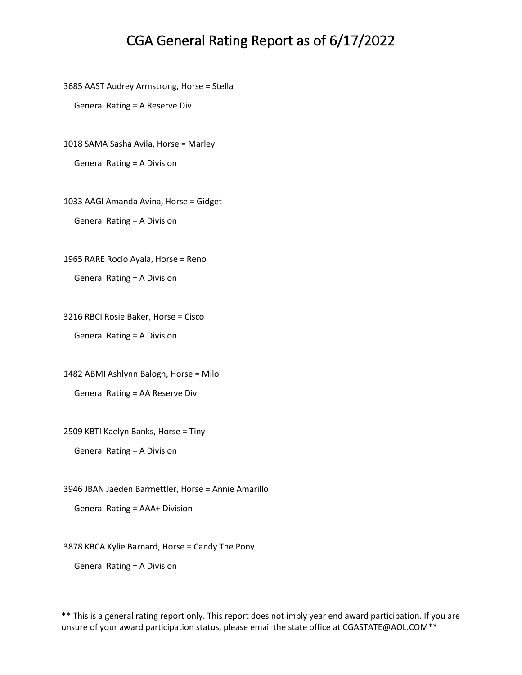3685 AAST Audrey Armstrong, Horse = Stella

General Rating = A Reserve Div

1018 SAMA Sasha Avila, Horse = Marley

General Rating = A Division

1033 AAGI Amanda Avina, Horse = Gidget General Rating = A Division

1965 RARE Rocio Ayala, Horse = Reno

General Rating = A Division

3216 RBCI Rosie Baker, Horse = Cisco General Rating = A Division

1482 ABMI Ashlynn Balogh, Horse = Milo General Rating = AA Reserve Div

2509 KBTI Kaelyn Banks, Horse = Tiny

General Rating = A Division

3946 JBAN Jaeden Barmettler, Horse = Annie Amarillo

General Rating = AAA+ Division

3878 KBCA Kylie Barnard, Horse = Candy The Pony

General Rating = A Division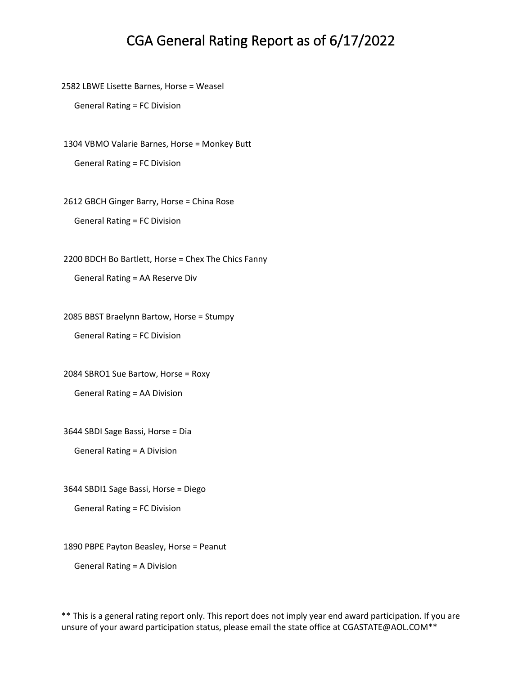2582 LBWE Lisette Barnes, Horse = Weasel

General Rating = FC Division

1304 VBMO Valarie Barnes, Horse = Monkey Butt General Rating = FC Division

2612 GBCH Ginger Barry, Horse = China Rose General Rating = FC Division

2200 BDCH Bo Bartlett, Horse = Chex The Chics Fanny General Rating = AA Reserve Div

2085 BBST Braelynn Bartow, Horse = Stumpy General Rating = FC Division

2084 SBRO1 Sue Bartow, Horse = Roxy General Rating = AA Division

3644 SBDI Sage Bassi, Horse = Dia

General Rating = A Division

3644 SBDI1 Sage Bassi, Horse = Diego

General Rating = FC Division

1890 PBPE Payton Beasley, Horse = Peanut

General Rating = A Division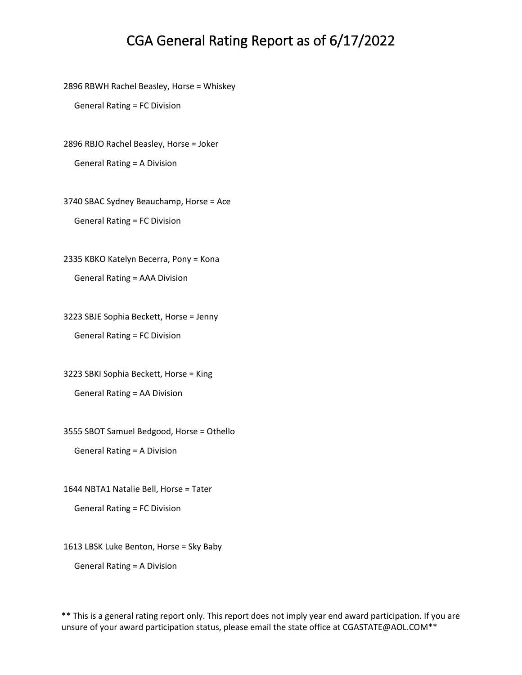2896 RBWH Rachel Beasley, Horse = Whiskey

General Rating = FC Division

2896 RBJO Rachel Beasley, Horse = Joker

General Rating = A Division

3740 SBAC Sydney Beauchamp, Horse = Ace General Rating = FC Division

2335 KBKO Katelyn Becerra, Pony = Kona General Rating = AAA Division

3223 SBJE Sophia Beckett, Horse = Jenny General Rating = FC Division

3223 SBKI Sophia Beckett, Horse = King General Rating = AA Division

3555 SBOT Samuel Bedgood, Horse = Othello

General Rating = A Division

1644 NBTA1 Natalie Bell, Horse = Tater

General Rating = FC Division

1613 LBSK Luke Benton, Horse = Sky Baby

General Rating = A Division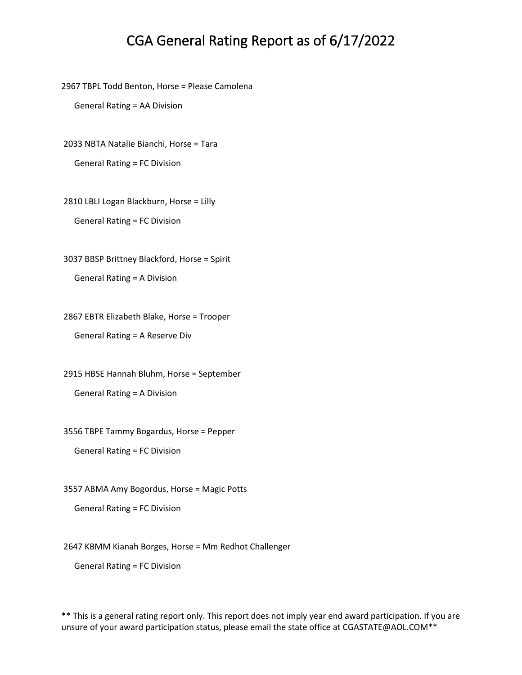2967 TBPL Todd Benton, Horse = Please Camolena

General Rating = AA Division

2033 NBTA Natalie Bianchi, Horse = Tara

General Rating = FC Division

2810 LBLI Logan Blackburn, Horse = Lilly General Rating = FC Division

3037 BBSP Brittney Blackford, Horse = Spirit General Rating = A Division

2867 EBTR Elizabeth Blake, Horse = Trooper General Rating = A Reserve Div

2915 HBSE Hannah Bluhm, Horse = September General Rating = A Division

3556 TBPE Tammy Bogardus, Horse = Pepper

General Rating = FC Division

3557 ABMA Amy Bogordus, Horse = Magic Potts

General Rating = FC Division

2647 KBMM Kianah Borges, Horse = Mm Redhot Challenger

General Rating = FC Division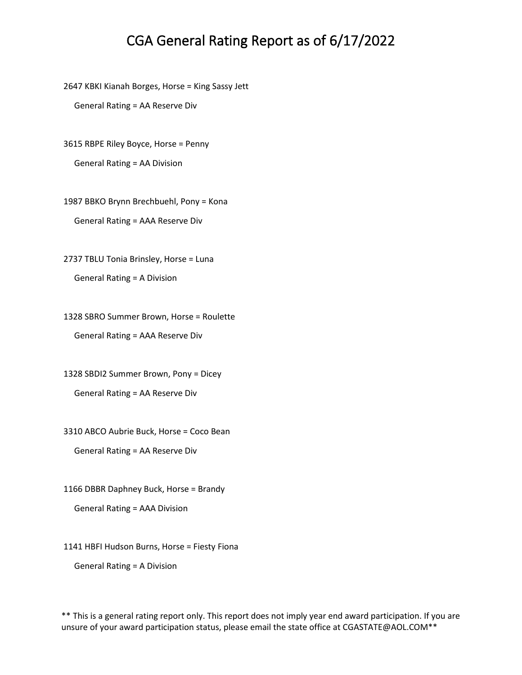2647 KBKI Kianah Borges, Horse = King Sassy Jett

General Rating = AA Reserve Div

3615 RBPE Riley Boyce, Horse = Penny General Rating = AA Division

1987 BBKO Brynn Brechbuehl, Pony = Kona General Rating = AAA Reserve Div

2737 TBLU Tonia Brinsley, Horse = Luna General Rating = A Division

1328 SBRO Summer Brown, Horse = Roulette General Rating = AAA Reserve Div

1328 SBDI2 Summer Brown, Pony = Dicey General Rating = AA Reserve Div

3310 ABCO Aubrie Buck, Horse = Coco Bean

General Rating = AA Reserve Div

1166 DBBR Daphney Buck, Horse = Brandy General Rating = AAA Division

1141 HBFI Hudson Burns, Horse = Fiesty Fiona

General Rating = A Division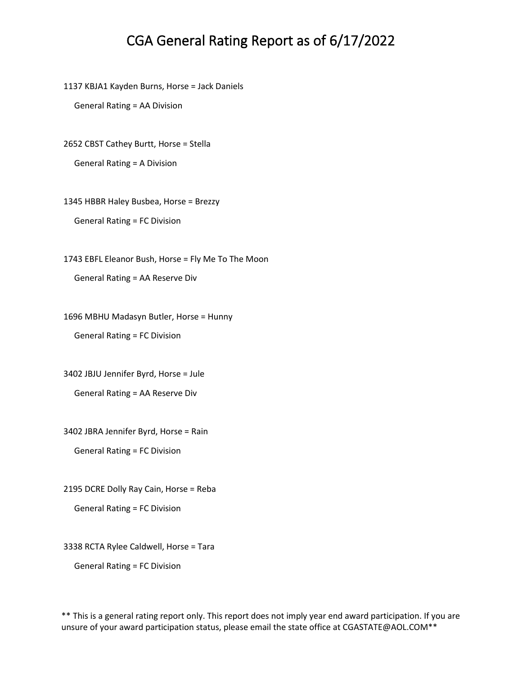1137 KBJA1 Kayden Burns, Horse = Jack Daniels

General Rating = AA Division

2652 CBST Cathey Burtt, Horse = Stella

General Rating = A Division

1345 HBBR Haley Busbea, Horse = Brezzy

General Rating = FC Division

1743 EBFL Eleanor Bush, Horse = Fly Me To The Moon General Rating = AA Reserve Div

1696 MBHU Madasyn Butler, Horse = Hunny General Rating = FC Division

3402 JBJU Jennifer Byrd, Horse = Jule

General Rating = AA Reserve Div

3402 JBRA Jennifer Byrd, Horse = Rain

General Rating = FC Division

2195 DCRE Dolly Ray Cain, Horse = Reba

General Rating = FC Division

3338 RCTA Rylee Caldwell, Horse = Tara

General Rating = FC Division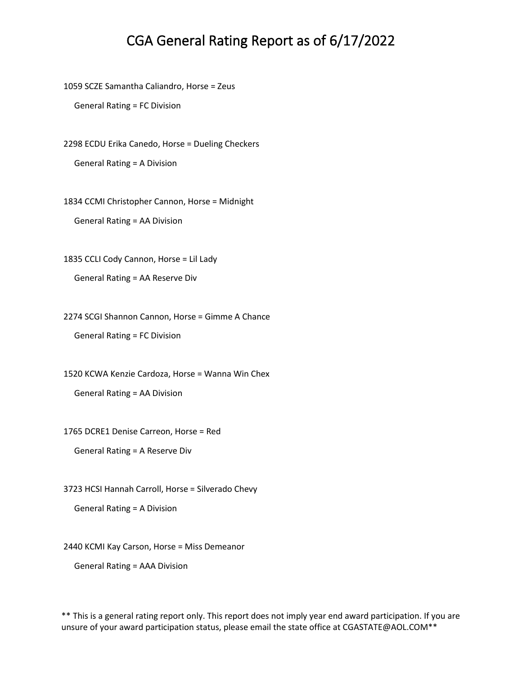1059 SCZE Samantha Caliandro, Horse = Zeus

General Rating = FC Division

2298 ECDU Erika Canedo, Horse = Dueling Checkers General Rating = A Division

1834 CCMI Christopher Cannon, Horse = Midnight General Rating = AA Division

1835 CCLI Cody Cannon, Horse = Lil Lady General Rating = AA Reserve Div

2274 SCGI Shannon Cannon, Horse = Gimme A Chance

General Rating = FC Division

1520 KCWA Kenzie Cardoza, Horse = Wanna Win Chex

General Rating = AA Division

1765 DCRE1 Denise Carreon, Horse = Red

General Rating = A Reserve Div

3723 HCSI Hannah Carroll, Horse = Silverado Chevy

General Rating = A Division

2440 KCMI Kay Carson, Horse = Miss Demeanor

General Rating = AAA Division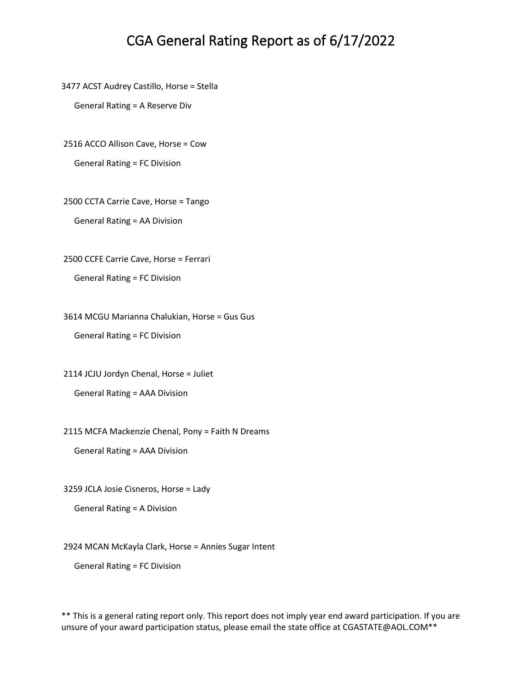3477 ACST Audrey Castillo, Horse = Stella

General Rating = A Reserve Div

2516 ACCO Allison Cave, Horse = Cow

General Rating = FC Division

2500 CCTA Carrie Cave, Horse = Tango

General Rating = AA Division

2500 CCFE Carrie Cave, Horse = Ferrari

General Rating = FC Division

3614 MCGU Marianna Chalukian, Horse = Gus Gus

General Rating = FC Division

2114 JCJU Jordyn Chenal, Horse = Juliet

General Rating = AAA Division

2115 MCFA Mackenzie Chenal, Pony = Faith N Dreams

General Rating = AAA Division

3259 JCLA Josie Cisneros, Horse = Lady

General Rating = A Division

2924 MCAN McKayla Clark, Horse = Annies Sugar Intent

General Rating = FC Division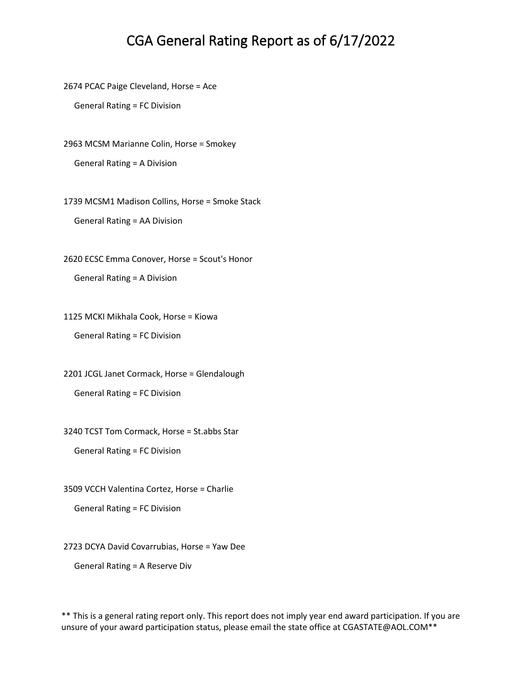2674 PCAC Paige Cleveland, Horse = Ace

General Rating = FC Division

2963 MCSM Marianne Colin, Horse = Smokey

General Rating = A Division

1739 MCSM1 Madison Collins, Horse = Smoke Stack

General Rating = AA Division

2620 ECSC Emma Conover, Horse = Scout's Honor General Rating = A Division

1125 MCKI Mikhala Cook, Horse = Kiowa

General Rating = FC Division

2201 JCGL Janet Cormack, Horse = Glendalough General Rating = FC Division

3240 TCST Tom Cormack, Horse = St.abbs Star

General Rating = FC Division

3509 VCCH Valentina Cortez, Horse = Charlie

General Rating = FC Division

2723 DCYA David Covarrubias, Horse = Yaw Dee

General Rating = A Reserve Div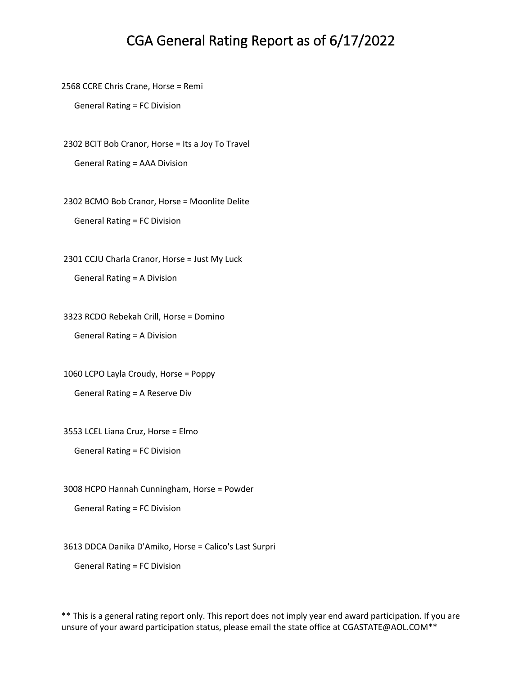2568 CCRE Chris Crane, Horse = Remi

General Rating = FC Division

2302 BCIT Bob Cranor, Horse = Its a Joy To Travel General Rating = AAA Division

2302 BCMO Bob Cranor, Horse = Moonlite Delite General Rating = FC Division

2301 CCJU Charla Cranor, Horse = Just My Luck General Rating = A Division

3323 RCDO Rebekah Crill, Horse = Domino General Rating = A Division

1060 LCPO Layla Croudy, Horse = Poppy General Rating = A Reserve Div

3553 LCEL Liana Cruz, Horse = Elmo

General Rating = FC Division

3008 HCPO Hannah Cunningham, Horse = Powder

General Rating = FC Division

3613 DDCA Danika D'Amiko, Horse = Calico's Last Surpri

General Rating = FC Division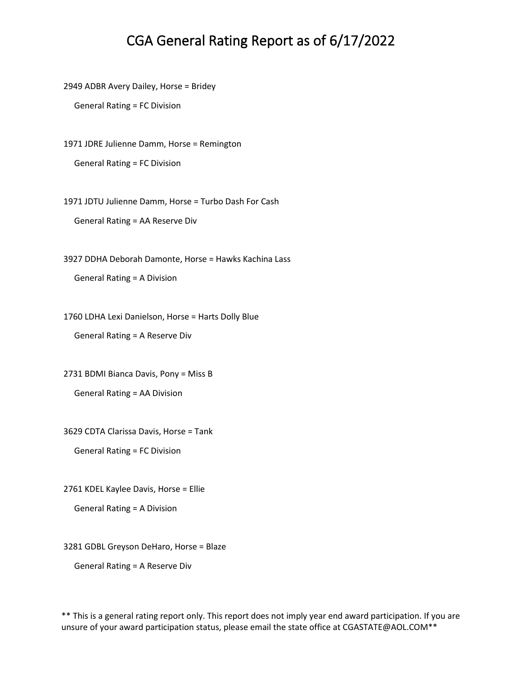2949 ADBR Avery Dailey, Horse = Bridey

General Rating = FC Division

1971 JDRE Julienne Damm, Horse = Remington

General Rating = FC Division

1971 JDTU Julienne Damm, Horse = Turbo Dash For Cash

General Rating = AA Reserve Div

3927 DDHA Deborah Damonte, Horse = Hawks Kachina Lass

General Rating = A Division

1760 LDHA Lexi Danielson, Horse = Harts Dolly Blue

General Rating = A Reserve Div

2731 BDMI Bianca Davis, Pony = Miss B General Rating = AA Division

3629 CDTA Clarissa Davis, Horse = Tank

General Rating = FC Division

2761 KDEL Kaylee Davis, Horse = Ellie

General Rating = A Division

3281 GDBL Greyson DeHaro, Horse = Blaze

General Rating = A Reserve Div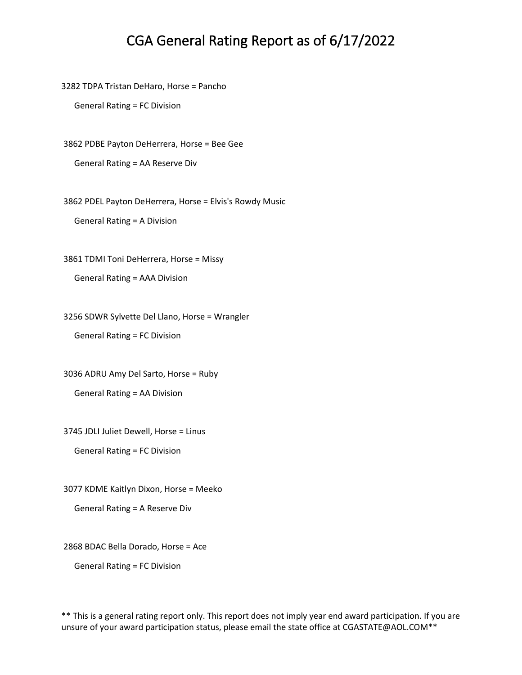3282 TDPA Tristan DeHaro, Horse = Pancho

General Rating = FC Division

3862 PDBE Payton DeHerrera, Horse = Bee Gee General Rating = AA Reserve Div

3862 PDEL Payton DeHerrera, Horse = Elvis's Rowdy Music

General Rating = A Division

3861 TDMI Toni DeHerrera, Horse = Missy

General Rating = AAA Division

3256 SDWR Sylvette Del Llano, Horse = Wrangler

General Rating = FC Division

3036 ADRU Amy Del Sarto, Horse = Ruby

General Rating = AA Division

3745 JDLI Juliet Dewell, Horse = Linus

General Rating = FC Division

3077 KDME Kaitlyn Dixon, Horse = Meeko

General Rating = A Reserve Div

2868 BDAC Bella Dorado, Horse = Ace

General Rating = FC Division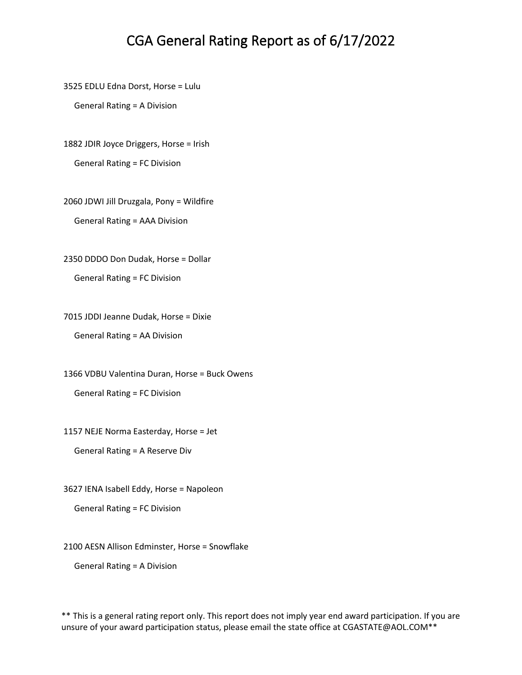3525 EDLU Edna Dorst, Horse = Lulu

General Rating = A Division

1882 JDIR Joyce Driggers, Horse = Irish

General Rating = FC Division

2060 JDWI Jill Druzgala, Pony = Wildfire General Rating = AAA Division

2350 DDDO Don Dudak, Horse = Dollar

General Rating = FC Division

7015 JDDI Jeanne Dudak, Horse = Dixie General Rating = AA Division

1366 VDBU Valentina Duran, Horse = Buck Owens General Rating = FC Division

1157 NEJE Norma Easterday, Horse = Jet

General Rating = A Reserve Div

3627 IENA Isabell Eddy, Horse = Napoleon

General Rating = FC Division

2100 AESN Allison Edminster, Horse = Snowflake

General Rating = A Division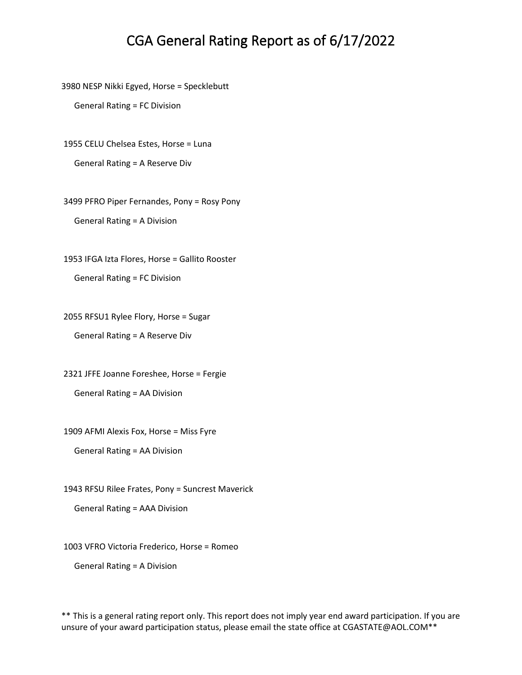3980 NESP Nikki Egyed, Horse = Specklebutt

General Rating = FC Division

1955 CELU Chelsea Estes, Horse = Luna

General Rating = A Reserve Div

3499 PFRO Piper Fernandes, Pony = Rosy Pony General Rating = A Division

1953 IFGA Izta Flores, Horse = Gallito Rooster General Rating = FC Division

2055 RFSU1 Rylee Flory, Horse = Sugar

General Rating = A Reserve Div

2321 JFFE Joanne Foreshee, Horse = Fergie General Rating = AA Division

1909 AFMI Alexis Fox, Horse = Miss Fyre

General Rating = AA Division

1943 RFSU Rilee Frates, Pony = Suncrest Maverick

General Rating = AAA Division

1003 VFRO Victoria Frederico, Horse = Romeo

General Rating = A Division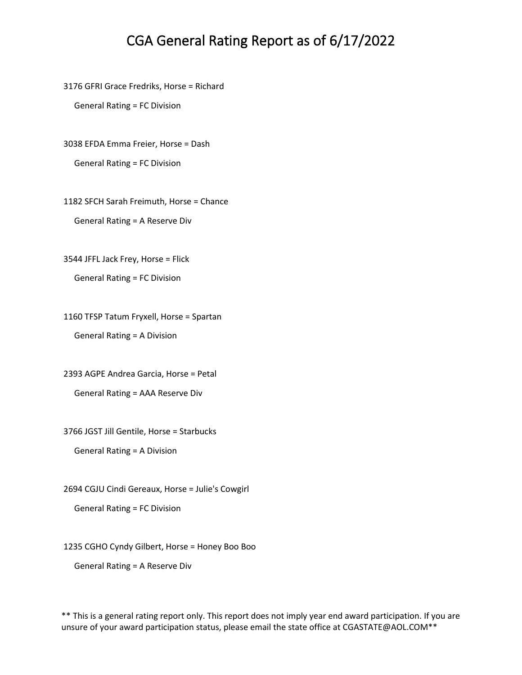3176 GFRI Grace Fredriks, Horse = Richard

General Rating = FC Division

3038 EFDA Emma Freier, Horse = Dash

General Rating = FC Division

1182 SFCH Sarah Freimuth, Horse = Chance General Rating = A Reserve Div

3544 JFFL Jack Frey, Horse = Flick

General Rating = FC Division

1160 TFSP Tatum Fryxell, Horse = Spartan General Rating = A Division

2393 AGPE Andrea Garcia, Horse = Petal General Rating = AAA Reserve Div

3766 JGST Jill Gentile, Horse = Starbucks

General Rating = A Division

2694 CGJU Cindi Gereaux, Horse = Julie's Cowgirl

General Rating = FC Division

1235 CGHO Cyndy Gilbert, Horse = Honey Boo Boo

General Rating = A Reserve Div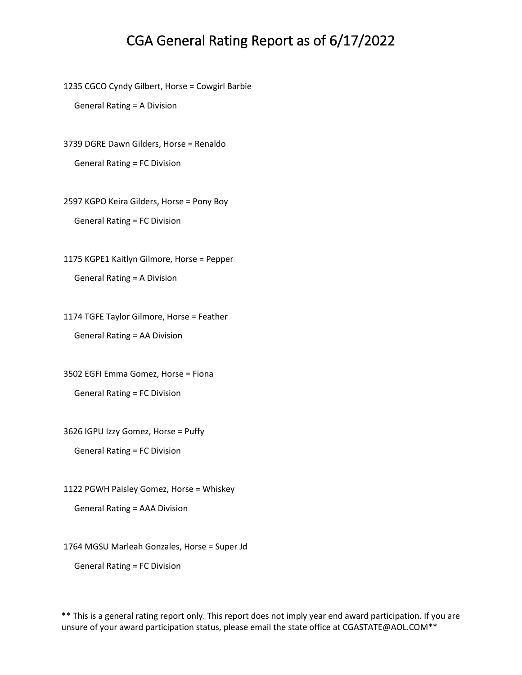1235 CGCO Cyndy Gilbert, Horse = Cowgirl Barbie

General Rating = A Division

3739 DGRE Dawn Gilders, Horse = Renaldo

General Rating = FC Division

2597 KGPO Keira Gilders, Horse = Pony Boy General Rating = FC Division

1175 KGPE1 Kaitlyn Gilmore, Horse = Pepper General Rating = A Division

1174 TGFE Taylor Gilmore, Horse = Feather General Rating = AA Division

3502 EGFI Emma Gomez, Horse = Fiona General Rating = FC Division

3626 IGPU Izzy Gomez, Horse = Puffy

General Rating = FC Division

1122 PGWH Paisley Gomez, Horse = Whiskey

General Rating = AAA Division

1764 MGSU Marleah Gonzales, Horse = Super Jd

General Rating = FC Division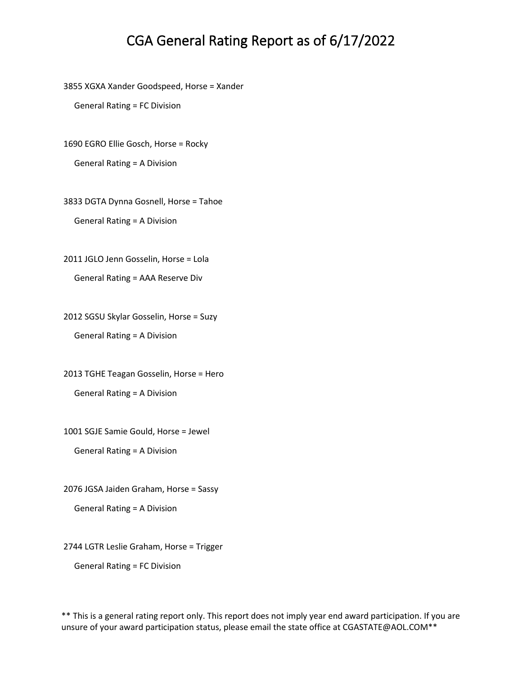3855 XGXA Xander Goodspeed, Horse = Xander

General Rating = FC Division

1690 EGRO Ellie Gosch, Horse = Rocky

General Rating = A Division

3833 DGTA Dynna Gosnell, Horse = Tahoe General Rating = A Division

2011 JGLO Jenn Gosselin, Horse = Lola General Rating = AAA Reserve Div

2012 SGSU Skylar Gosselin, Horse = Suzy General Rating = A Division

2013 TGHE Teagan Gosselin, Horse = Hero General Rating = A Division

1001 SGJE Samie Gould, Horse = Jewel

General Rating = A Division

2076 JGSA Jaiden Graham, Horse = Sassy

General Rating = A Division

2744 LGTR Leslie Graham, Horse = Trigger

General Rating = FC Division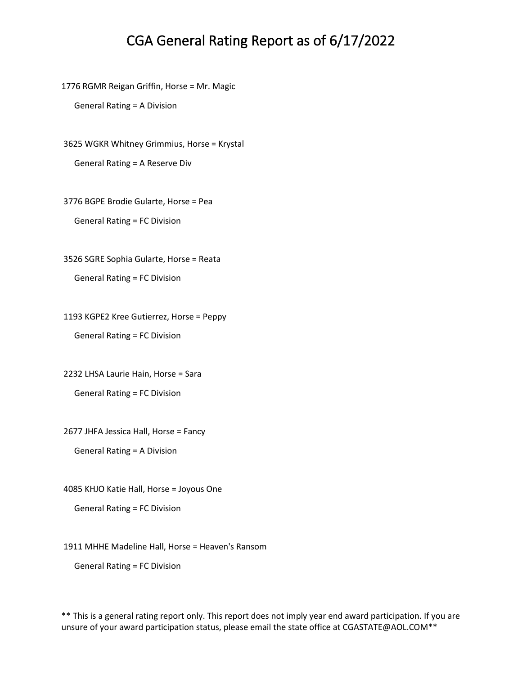1776 RGMR Reigan Griffin, Horse = Mr. Magic

General Rating = A Division

3625 WGKR Whitney Grimmius, Horse = Krystal

General Rating = A Reserve Div

3776 BGPE Brodie Gularte, Horse = Pea

General Rating = FC Division

3526 SGRE Sophia Gularte, Horse = Reata

General Rating = FC Division

1193 KGPE2 Kree Gutierrez, Horse = Peppy

General Rating = FC Division

2232 LHSA Laurie Hain, Horse = Sara

General Rating = FC Division

2677 JHFA Jessica Hall, Horse = Fancy

General Rating = A Division

4085 KHJO Katie Hall, Horse = Joyous One

General Rating = FC Division

1911 MHHE Madeline Hall, Horse = Heaven's Ransom

General Rating = FC Division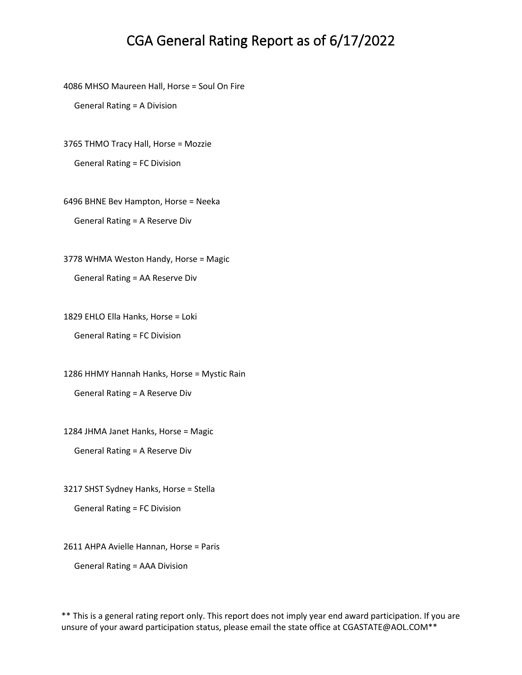4086 MHSO Maureen Hall, Horse = Soul On Fire

General Rating = A Division

3765 THMO Tracy Hall, Horse = Mozzie

General Rating = FC Division

6496 BHNE Bev Hampton, Horse = Neeka General Rating = A Reserve Div

3778 WHMA Weston Handy, Horse = Magic

General Rating = AA Reserve Div

1829 EHLO Ella Hanks, Horse = Loki

General Rating = FC Division

1286 HHMY Hannah Hanks, Horse = Mystic Rain General Rating = A Reserve Div

1284 JHMA Janet Hanks, Horse = Magic

General Rating = A Reserve Div

3217 SHST Sydney Hanks, Horse = Stella

General Rating = FC Division

2611 AHPA Avielle Hannan, Horse = Paris

General Rating = AAA Division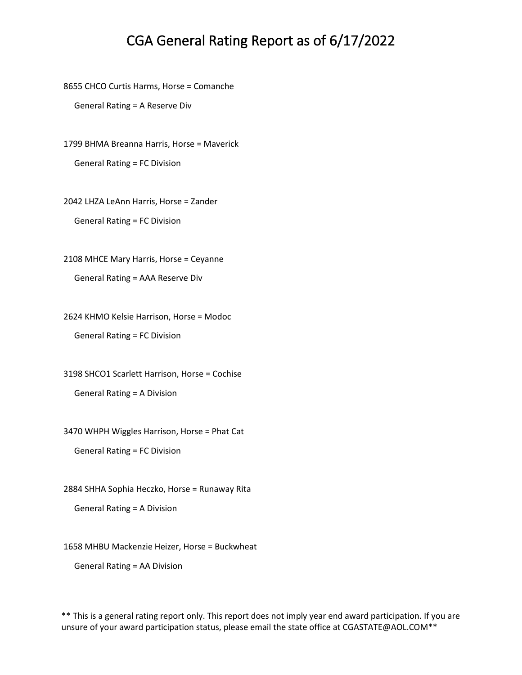8655 CHCO Curtis Harms, Horse = Comanche

General Rating = A Reserve Div

1799 BHMA Breanna Harris, Horse = Maverick General Rating = FC Division

2042 LHZA LeAnn Harris, Horse = Zander General Rating = FC Division

2108 MHCE Mary Harris, Horse = Ceyanne General Rating = AAA Reserve Div

2624 KHMO Kelsie Harrison, Horse = Modoc General Rating = FC Division

3198 SHCO1 Scarlett Harrison, Horse = Cochise General Rating = A Division

3470 WHPH Wiggles Harrison, Horse = Phat Cat

General Rating = FC Division

2884 SHHA Sophia Heczko, Horse = Runaway Rita

General Rating = A Division

1658 MHBU Mackenzie Heizer, Horse = Buckwheat

General Rating = AA Division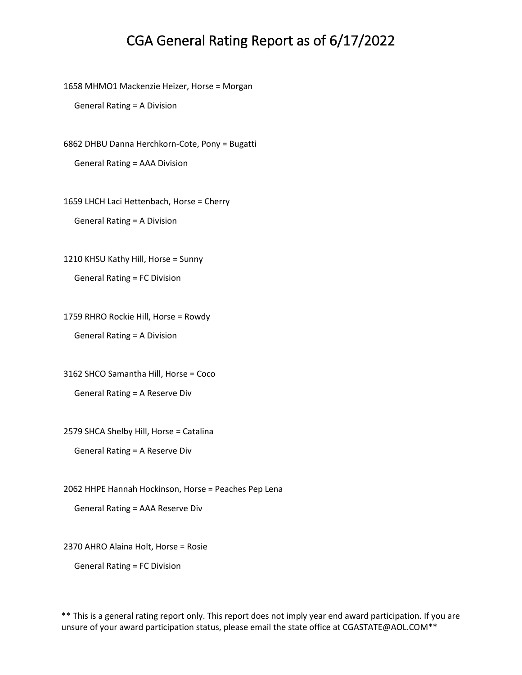1658 MHMO1 Mackenzie Heizer, Horse = Morgan

General Rating = A Division

6862 DHBU Danna Herchkorn-Cote, Pony = Bugatti

General Rating = AAA Division

1659 LHCH Laci Hettenbach, Horse = Cherry

General Rating = A Division

1210 KHSU Kathy Hill, Horse = Sunny

General Rating = FC Division

1759 RHRO Rockie Hill, Horse = Rowdy

General Rating = A Division

3162 SHCO Samantha Hill, Horse = Coco

General Rating = A Reserve Div

2579 SHCA Shelby Hill, Horse = Catalina

General Rating = A Reserve Div

2062 HHPE Hannah Hockinson, Horse = Peaches Pep Lena

General Rating = AAA Reserve Div

2370 AHRO Alaina Holt, Horse = Rosie

General Rating = FC Division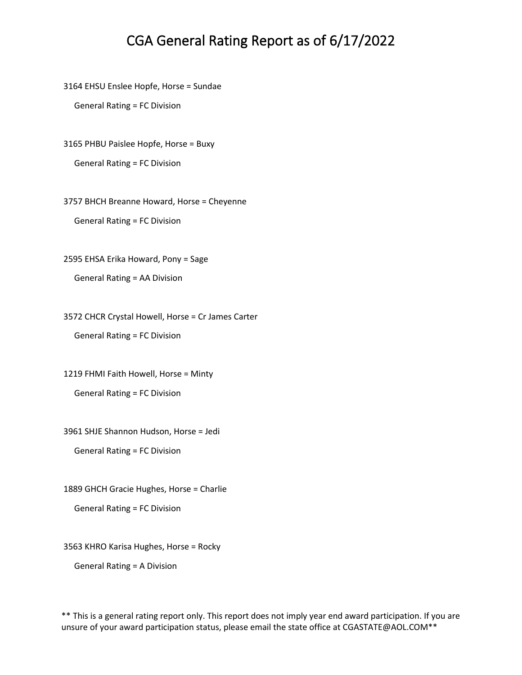3164 EHSU Enslee Hopfe, Horse = Sundae

General Rating = FC Division

3165 PHBU Paislee Hopfe, Horse = Buxy

General Rating = FC Division

3757 BHCH Breanne Howard, Horse = Cheyenne General Rating = FC Division

2595 EHSA Erika Howard, Pony = Sage

General Rating = AA Division

3572 CHCR Crystal Howell, Horse = Cr James Carter

General Rating = FC Division

1219 FHMI Faith Howell, Horse = Minty General Rating = FC Division

3961 SHJE Shannon Hudson, Horse = Jedi

General Rating = FC Division

1889 GHCH Gracie Hughes, Horse = Charlie

General Rating = FC Division

3563 KHRO Karisa Hughes, Horse = Rocky

General Rating = A Division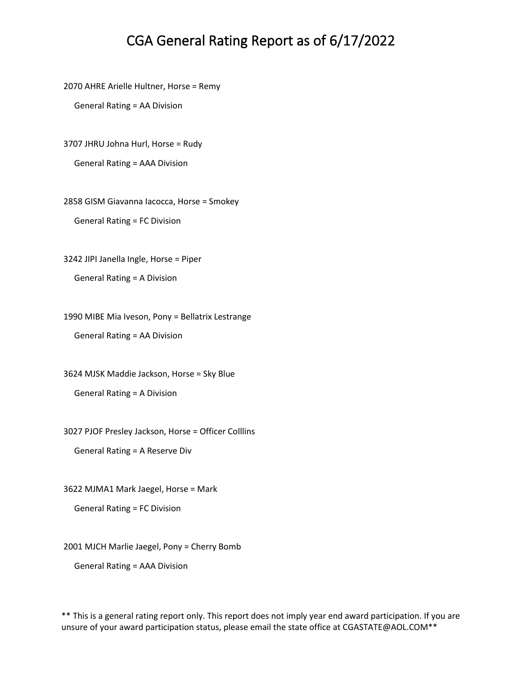2070 AHRE Arielle Hultner, Horse = Remy

General Rating = AA Division

3707 JHRU Johna Hurl, Horse = Rudy

General Rating = AAA Division

2858 GISM Giavanna Iacocca, Horse = Smokey General Rating = FC Division

3242 JIPI Janella Ingle, Horse = Piper

General Rating = A Division

1990 MIBE Mia Iveson, Pony = Bellatrix Lestrange

General Rating = AA Division

3624 MJSK Maddie Jackson, Horse = Sky Blue

General Rating = A Division

3027 PJOF Presley Jackson, Horse = Officer Colllins

General Rating = A Reserve Div

3622 MJMA1 Mark Jaegel, Horse = Mark

General Rating = FC Division

2001 MJCH Marlie Jaegel, Pony = Cherry Bomb

General Rating = AAA Division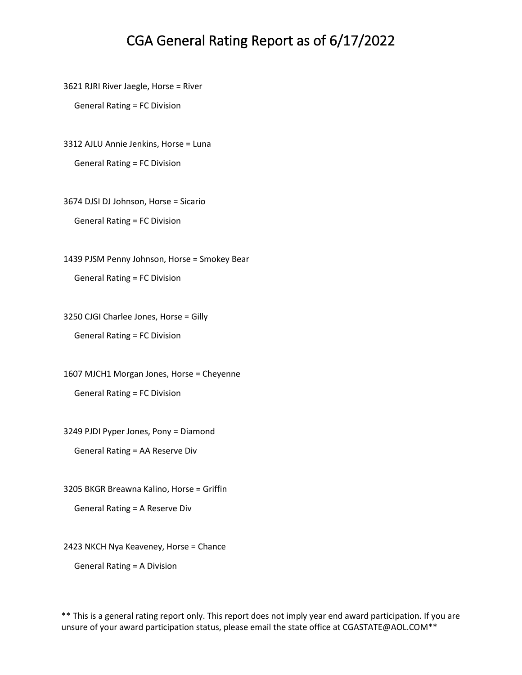3621 RJRI River Jaegle, Horse = River

General Rating = FC Division

3312 AJLU Annie Jenkins, Horse = Luna

General Rating = FC Division

3674 DJSI DJ Johnson, Horse = Sicario

General Rating = FC Division

1439 PJSM Penny Johnson, Horse = Smokey Bear General Rating = FC Division

3250 CJGI Charlee Jones, Horse = Gilly General Rating = FC Division

1607 MJCH1 Morgan Jones, Horse = Cheyenne General Rating = FC Division

3249 PJDI Pyper Jones, Pony = Diamond

General Rating = AA Reserve Div

3205 BKGR Breawna Kalino, Horse = Griffin

General Rating = A Reserve Div

2423 NKCH Nya Keaveney, Horse = Chance

General Rating = A Division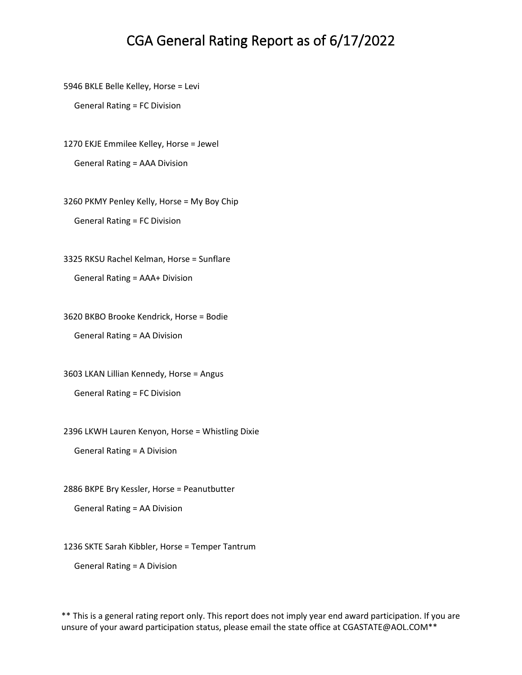5946 BKLE Belle Kelley, Horse = Levi

General Rating = FC Division

1270 EKJE Emmilee Kelley, Horse = Jewel

General Rating = AAA Division

3260 PKMY Penley Kelly, Horse = My Boy Chip General Rating = FC Division

3325 RKSU Rachel Kelman, Horse = Sunflare General Rating = AAA+ Division

3620 BKBO Brooke Kendrick, Horse = Bodie General Rating = AA Division

3603 LKAN Lillian Kennedy, Horse = Angus General Rating = FC Division

2396 LKWH Lauren Kenyon, Horse = Whistling Dixie

General Rating = A Division

2886 BKPE Bry Kessler, Horse = Peanutbutter

General Rating = AA Division

1236 SKTE Sarah Kibbler, Horse = Temper Tantrum

General Rating = A Division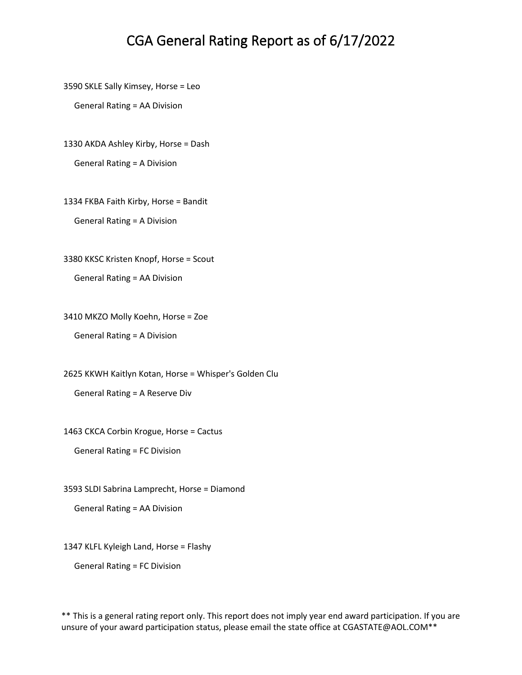3590 SKLE Sally Kimsey, Horse = Leo

General Rating = AA Division

1330 AKDA Ashley Kirby, Horse = Dash

General Rating = A Division

1334 FKBA Faith Kirby, Horse = Bandit

General Rating = A Division

3380 KKSC Kristen Knopf, Horse = Scout

General Rating = AA Division

3410 MKZO Molly Koehn, Horse = Zoe

General Rating = A Division

2625 KKWH Kaitlyn Kotan, Horse = Whisper's Golden Clu

General Rating = A Reserve Div

1463 CKCA Corbin Krogue, Horse = Cactus

General Rating = FC Division

3593 SLDI Sabrina Lamprecht, Horse = Diamond

General Rating = AA Division

1347 KLFL Kyleigh Land, Horse = Flashy

General Rating = FC Division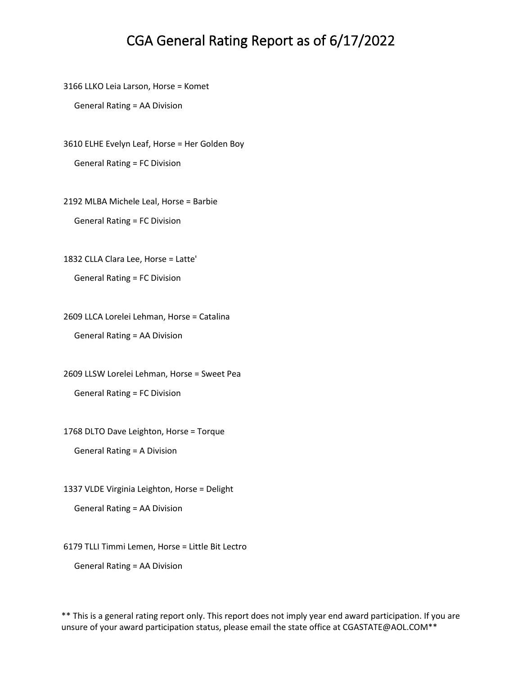3166 LLKO Leia Larson, Horse = Komet

General Rating = AA Division

3610 ELHE Evelyn Leaf, Horse = Her Golden Boy

General Rating = FC Division

2192 MLBA Michele Leal, Horse = Barbie

General Rating = FC Division

1832 CLLA Clara Lee, Horse = Latte'

General Rating = FC Division

2609 LLCA Lorelei Lehman, Horse = Catalina General Rating = AA Division

2609 LLSW Lorelei Lehman, Horse = Sweet Pea General Rating = FC Division

1768 DLTO Dave Leighton, Horse = Torque

General Rating = A Division

1337 VLDE Virginia Leighton, Horse = Delight

General Rating = AA Division

6179 TLLI Timmi Lemen, Horse = Little Bit Lectro

General Rating = AA Division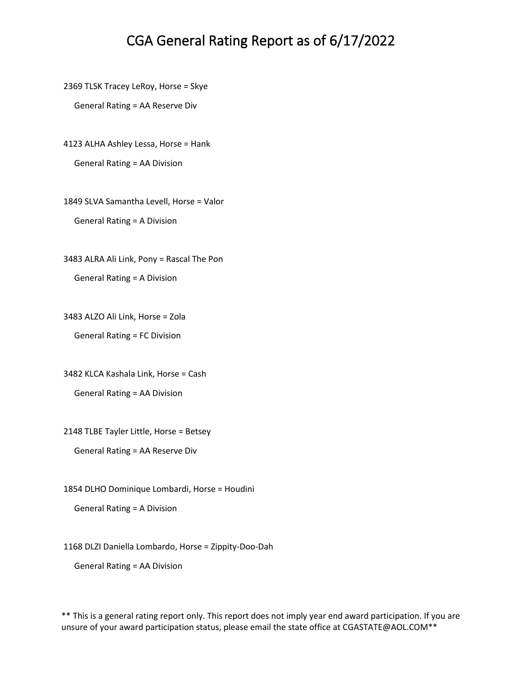2369 TLSK Tracey LeRoy, Horse = Skye

General Rating = AA Reserve Div

4123 ALHA Ashley Lessa, Horse = Hank

General Rating = AA Division

1849 SLVA Samantha Levell, Horse = Valor General Rating = A Division

3483 ALRA Ali Link, Pony = Rascal The Pon General Rating = A Division

3483 ALZO Ali Link, Horse = Zola

General Rating = FC Division

3482 KLCA Kashala Link, Horse = Cash

General Rating = AA Division

2148 TLBE Tayler Little, Horse = Betsey

General Rating = AA Reserve Div

1854 DLHO Dominique Lombardi, Horse = Houdini

General Rating = A Division

1168 DLZI Daniella Lombardo, Horse = Zippity-Doo-Dah

General Rating = AA Division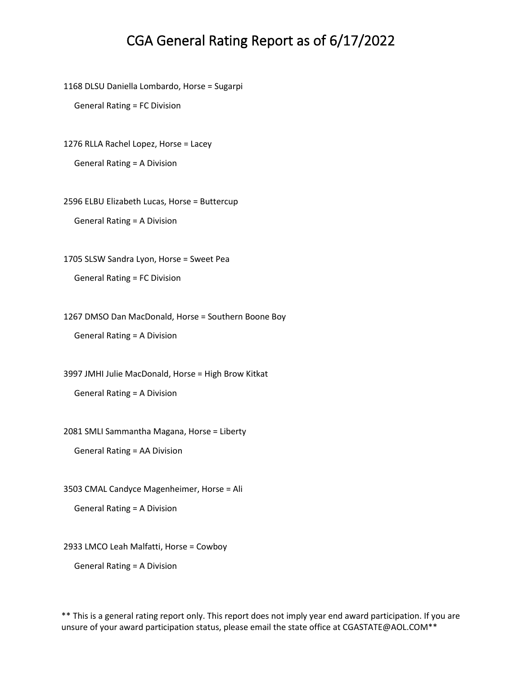1168 DLSU Daniella Lombardo, Horse = Sugarpi

General Rating = FC Division

1276 RLLA Rachel Lopez, Horse = Lacey

General Rating = A Division

2596 ELBU Elizabeth Lucas, Horse = Buttercup General Rating = A Division

1705 SLSW Sandra Lyon, Horse = Sweet Pea

General Rating = FC Division

1267 DMSO Dan MacDonald, Horse = Southern Boone Boy

General Rating = A Division

3997 JMHI Julie MacDonald, Horse = High Brow Kitkat

General Rating = A Division

2081 SMLI Sammantha Magana, Horse = Liberty

General Rating = AA Division

3503 CMAL Candyce Magenheimer, Horse = Ali

General Rating = A Division

2933 LMCO Leah Malfatti, Horse = Cowboy

General Rating = A Division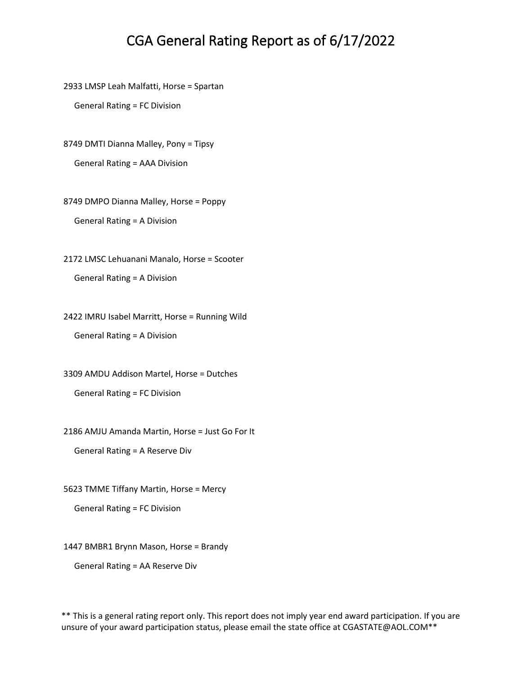2933 LMSP Leah Malfatti, Horse = Spartan

General Rating = FC Division

8749 DMTI Dianna Malley, Pony = Tipsy

General Rating = AAA Division

8749 DMPO Dianna Malley, Horse = Poppy General Rating = A Division

2172 LMSC Lehuanani Manalo, Horse = Scooter General Rating = A Division

2422 IMRU Isabel Marritt, Horse = Running Wild General Rating = A Division

3309 AMDU Addison Martel, Horse = Dutches General Rating = FC Division

2186 AMJU Amanda Martin, Horse = Just Go For It

General Rating = A Reserve Div

5623 TMME Tiffany Martin, Horse = Mercy

General Rating = FC Division

1447 BMBR1 Brynn Mason, Horse = Brandy

General Rating = AA Reserve Div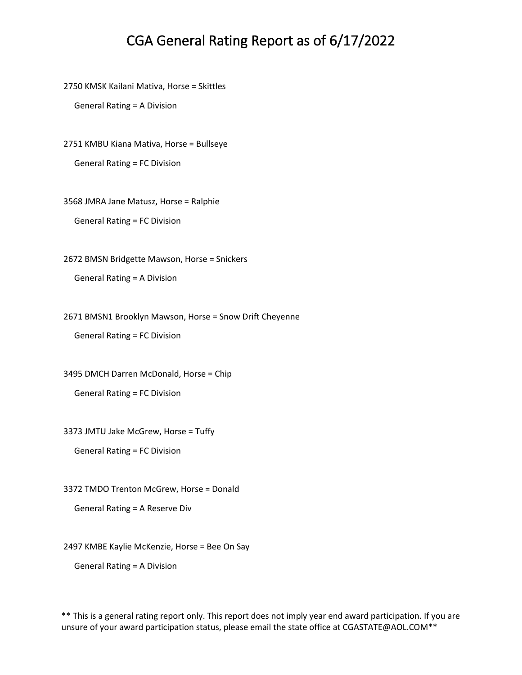2750 KMSK Kailani Mativa, Horse = Skittles

General Rating = A Division

2751 KMBU Kiana Mativa, Horse = Bullseye

General Rating = FC Division

3568 JMRA Jane Matusz, Horse = Ralphie

General Rating = FC Division

2672 BMSN Bridgette Mawson, Horse = Snickers

General Rating = A Division

2671 BMSN1 Brooklyn Mawson, Horse = Snow Drift Cheyenne

General Rating = FC Division

3495 DMCH Darren McDonald, Horse = Chip

General Rating = FC Division

3373 JMTU Jake McGrew, Horse = Tuffy

General Rating = FC Division

3372 TMDO Trenton McGrew, Horse = Donald

General Rating = A Reserve Div

2497 KMBE Kaylie McKenzie, Horse = Bee On Say

General Rating = A Division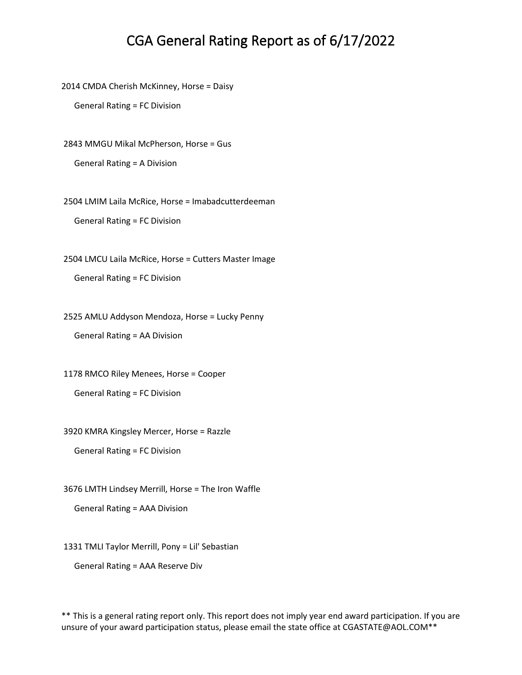2014 CMDA Cherish McKinney, Horse = Daisy

General Rating = FC Division

2843 MMGU Mikal McPherson, Horse = Gus

General Rating = A Division

2504 LMIM Laila McRice, Horse = Imabadcutterdeeman

General Rating = FC Division

2504 LMCU Laila McRice, Horse = Cutters Master Image

General Rating = FC Division

2525 AMLU Addyson Mendoza, Horse = Lucky Penny

General Rating = AA Division

1178 RMCO Riley Menees, Horse = Cooper

General Rating = FC Division

3920 KMRA Kingsley Mercer, Horse = Razzle

General Rating = FC Division

3676 LMTH Lindsey Merrill, Horse = The Iron Waffle

General Rating = AAA Division

1331 TMLI Taylor Merrill, Pony = Lil' Sebastian

General Rating = AAA Reserve Div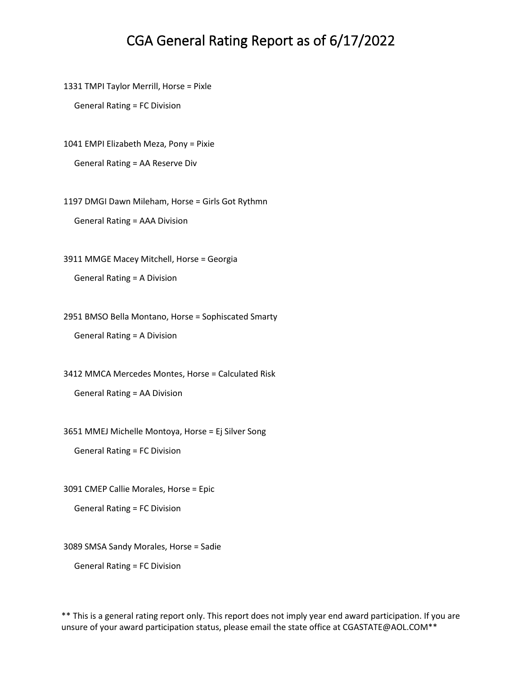1331 TMPI Taylor Merrill, Horse = Pixle

General Rating = FC Division

1041 EMPI Elizabeth Meza, Pony = Pixie

General Rating = AA Reserve Div

1197 DMGI Dawn Mileham, Horse = Girls Got Rythmn

General Rating = AAA Division

3911 MMGE Macey Mitchell, Horse = Georgia

General Rating = A Division

2951 BMSO Bella Montano, Horse = Sophiscated Smarty

General Rating = A Division

3412 MMCA Mercedes Montes, Horse = Calculated Risk

General Rating = AA Division

3651 MMEJ Michelle Montoya, Horse = Ej Silver Song

General Rating = FC Division

3091 CMEP Callie Morales, Horse = Epic

General Rating = FC Division

3089 SMSA Sandy Morales, Horse = Sadie

General Rating = FC Division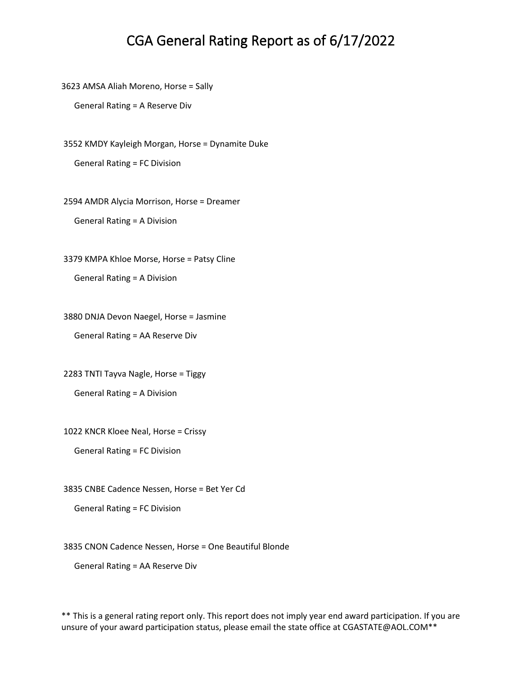3623 AMSA Aliah Moreno, Horse = Sally

General Rating = A Reserve Div

3552 KMDY Kayleigh Morgan, Horse = Dynamite Duke General Rating = FC Division

2594 AMDR Alycia Morrison, Horse = Dreamer General Rating = A Division

3379 KMPA Khloe Morse, Horse = Patsy Cline

General Rating = A Division

3880 DNJA Devon Naegel, Horse = Jasmine

General Rating = AA Reserve Div

2283 TNTI Tayva Nagle, Horse = Tiggy

General Rating = A Division

1022 KNCR Kloee Neal, Horse = Crissy

General Rating = FC Division

3835 CNBE Cadence Nessen, Horse = Bet Yer Cd

General Rating = FC Division

3835 CNON Cadence Nessen, Horse = One Beautiful Blonde

General Rating = AA Reserve Div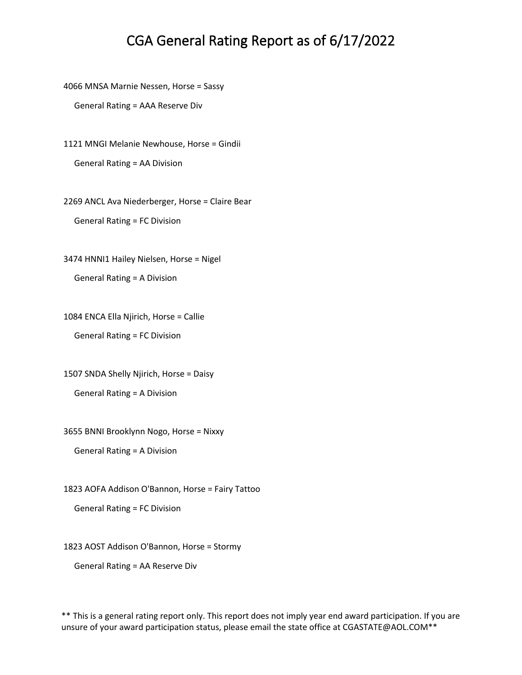4066 MNSA Marnie Nessen, Horse = Sassy

General Rating = AAA Reserve Div

1121 MNGI Melanie Newhouse, Horse = Gindii General Rating = AA Division

2269 ANCL Ava Niederberger, Horse = Claire Bear General Rating = FC Division

3474 HNNI1 Hailey Nielsen, Horse = Nigel General Rating = A Division

1084 ENCA Ella Njirich, Horse = Callie General Rating = FC Division

1507 SNDA Shelly Njirich, Horse = Daisy General Rating = A Division

3655 BNNI Brooklynn Nogo, Horse = Nixxy

General Rating = A Division

1823 AOFA Addison O'Bannon, Horse = Fairy Tattoo

General Rating = FC Division

1823 AOST Addison O'Bannon, Horse = Stormy

General Rating = AA Reserve Div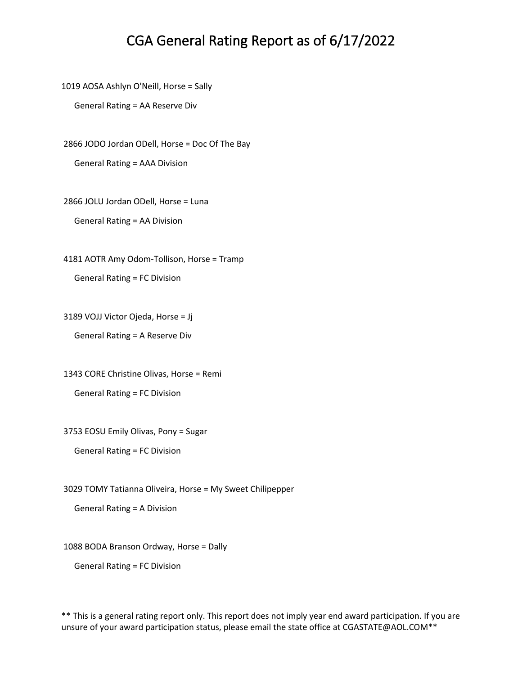1019 AOSA Ashlyn O'Neill, Horse = Sally

General Rating = AA Reserve Div

2866 JODO Jordan ODell, Horse = Doc Of The Bay General Rating = AAA Division

2866 JOLU Jordan ODell, Horse = Luna

General Rating = AA Division

4181 AOTR Amy Odom-Tollison, Horse = Tramp General Rating = FC Division

3189 VOJJ Victor Ojeda, Horse = Jj

General Rating = A Reserve Div

1343 CORE Christine Olivas, Horse = Remi General Rating = FC Division

3753 EOSU Emily Olivas, Pony = Sugar

```
 General Rating = FC Division
```
3029 TOMY Tatianna Oliveira, Horse = My Sweet Chilipepper

General Rating = A Division

1088 BODA Branson Ordway, Horse = Dally

General Rating = FC Division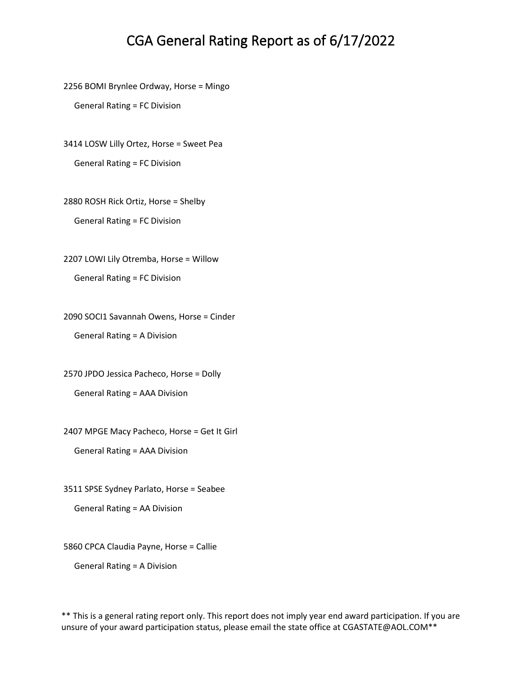2256 BOMI Brynlee Ordway, Horse = Mingo

General Rating = FC Division

3414 LOSW Lilly Ortez, Horse = Sweet Pea General Rating = FC Division

2880 ROSH Rick Ortiz, Horse = Shelby General Rating = FC Division

2207 LOWI Lily Otremba, Horse = Willow General Rating = FC Division

2090 SOCI1 Savannah Owens, Horse = Cinder General Rating = A Division

2570 JPDO Jessica Pacheco, Horse = Dolly General Rating = AAA Division

2407 MPGE Macy Pacheco, Horse = Get It Girl

General Rating = AAA Division

3511 SPSE Sydney Parlato, Horse = Seabee

General Rating = AA Division

5860 CPCA Claudia Payne, Horse = Callie

General Rating = A Division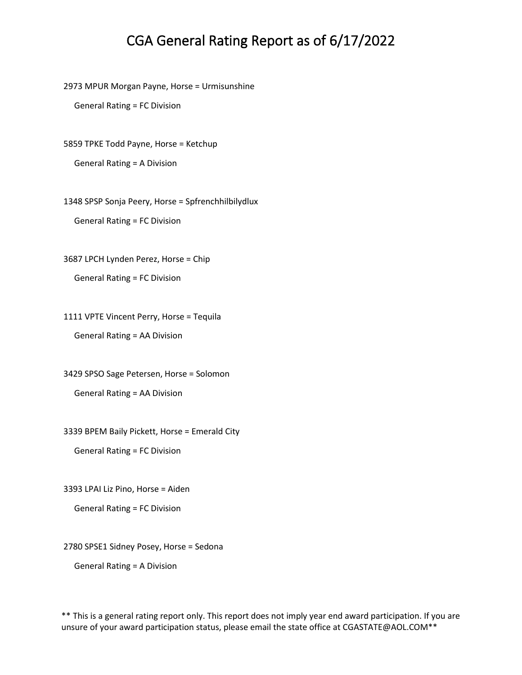2973 MPUR Morgan Payne, Horse = Urmisunshine

General Rating = FC Division

5859 TPKE Todd Payne, Horse = Ketchup General Rating = A Division

1348 SPSP Sonja Peery, Horse = Spfrenchhilbilydlux General Rating = FC Division

3687 LPCH Lynden Perez, Horse = Chip

General Rating = FC Division

1111 VPTE Vincent Perry, Horse = Tequila General Rating = AA Division

3429 SPSO Sage Petersen, Horse = Solomon

General Rating = AA Division

3339 BPEM Baily Pickett, Horse = Emerald City

General Rating = FC Division

3393 LPAI Liz Pino, Horse = Aiden

General Rating = FC Division

2780 SPSE1 Sidney Posey, Horse = Sedona

General Rating = A Division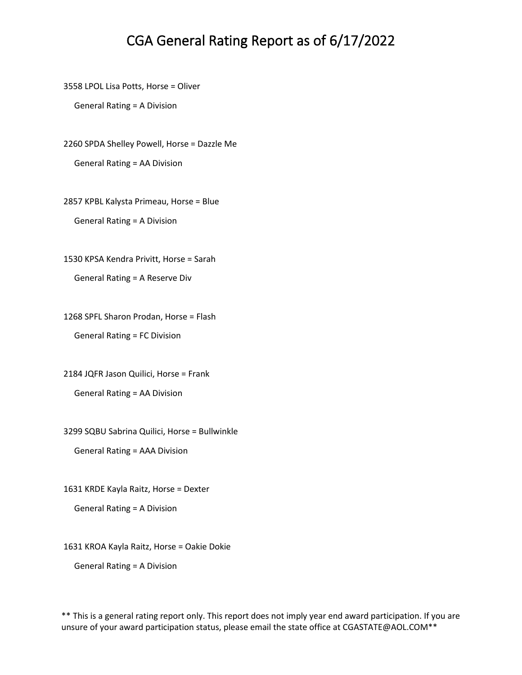3558 LPOL Lisa Potts, Horse = Oliver

General Rating = A Division

2260 SPDA Shelley Powell, Horse = Dazzle Me General Rating = AA Division

2857 KPBL Kalysta Primeau, Horse = Blue General Rating = A Division

1530 KPSA Kendra Privitt, Horse = Sarah

General Rating = A Reserve Div

1268 SPFL Sharon Prodan, Horse = Flash General Rating = FC Division

2184 JQFR Jason Quilici, Horse = Frank General Rating = AA Division

3299 SQBU Sabrina Quilici, Horse = Bullwinkle

General Rating = AAA Division

1631 KRDE Kayla Raitz, Horse = Dexter

General Rating = A Division

1631 KROA Kayla Raitz, Horse = Oakie Dokie

General Rating = A Division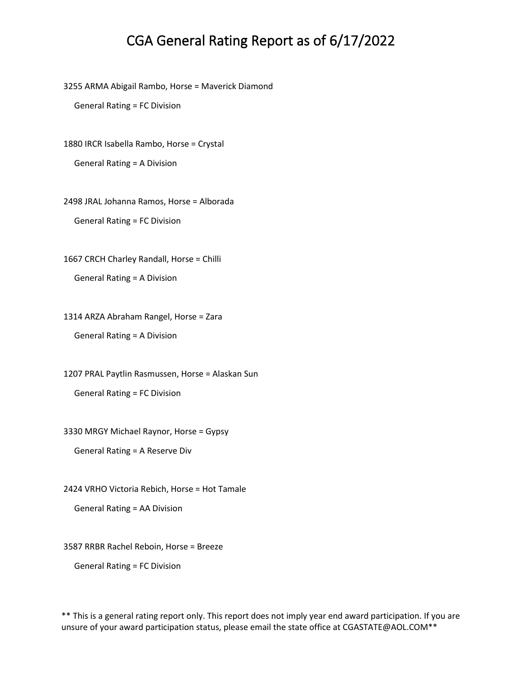3255 ARMA Abigail Rambo, Horse = Maverick Diamond

General Rating = FC Division

1880 IRCR Isabella Rambo, Horse = Crystal

General Rating = A Division

2498 JRAL Johanna Ramos, Horse = Alborada General Rating = FC Division

1667 CRCH Charley Randall, Horse = Chilli General Rating = A Division

1314 ARZA Abraham Rangel, Horse = Zara General Rating = A Division

1207 PRAL Paytlin Rasmussen, Horse = Alaskan Sun General Rating = FC Division

3330 MRGY Michael Raynor, Horse = Gypsy

General Rating = A Reserve Div

2424 VRHO Victoria Rebich, Horse = Hot Tamale

General Rating = AA Division

3587 RRBR Rachel Reboin, Horse = Breeze

General Rating = FC Division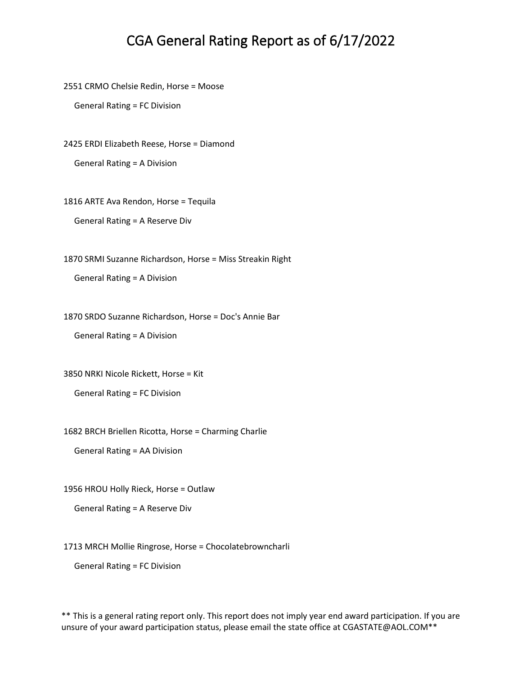2551 CRMO Chelsie Redin, Horse = Moose

General Rating = FC Division

2425 ERDI Elizabeth Reese, Horse = Diamond

General Rating = A Division

1816 ARTE Ava Rendon, Horse = Tequila

General Rating = A Reserve Div

1870 SRMI Suzanne Richardson, Horse = Miss Streakin Right

General Rating = A Division

1870 SRDO Suzanne Richardson, Horse = Doc's Annie Bar

General Rating = A Division

3850 NRKI Nicole Rickett, Horse = Kit

General Rating = FC Division

1682 BRCH Briellen Ricotta, Horse = Charming Charlie

General Rating = AA Division

1956 HROU Holly Rieck, Horse = Outlaw

General Rating = A Reserve Div

1713 MRCH Mollie Ringrose, Horse = Chocolatebrowncharli

General Rating = FC Division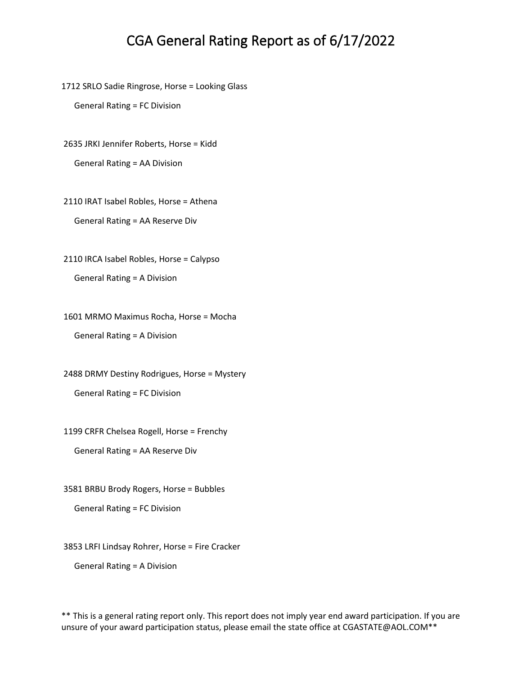1712 SRLO Sadie Ringrose, Horse = Looking Glass

General Rating = FC Division

2635 JRKI Jennifer Roberts, Horse = Kidd

General Rating = AA Division

2110 IRAT Isabel Robles, Horse = Athena General Rating = AA Reserve Div

2110 IRCA Isabel Robles, Horse = Calypso General Rating = A Division

1601 MRMO Maximus Rocha, Horse = Mocha General Rating = A Division

2488 DRMY Destiny Rodrigues, Horse = Mystery General Rating = FC Division

1199 CRFR Chelsea Rogell, Horse = Frenchy

General Rating = AA Reserve Div

3581 BRBU Brody Rogers, Horse = Bubbles

General Rating = FC Division

3853 LRFI Lindsay Rohrer, Horse = Fire Cracker

General Rating = A Division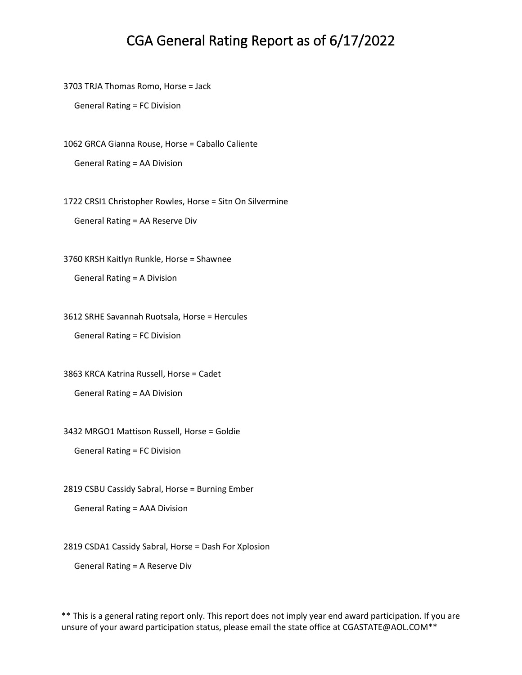3703 TRJA Thomas Romo, Horse = Jack

General Rating = FC Division

1062 GRCA Gianna Rouse, Horse = Caballo Caliente

General Rating = AA Division

1722 CRSI1 Christopher Rowles, Horse = Sitn On Silvermine

General Rating = AA Reserve Div

3760 KRSH Kaitlyn Runkle, Horse = Shawnee General Rating = A Division

3612 SRHE Savannah Ruotsala, Horse = Hercules General Rating = FC Division

3863 KRCA Katrina Russell, Horse = Cadet

General Rating = AA Division

3432 MRGO1 Mattison Russell, Horse = Goldie

General Rating = FC Division

2819 CSBU Cassidy Sabral, Horse = Burning Ember

General Rating = AAA Division

2819 CSDA1 Cassidy Sabral, Horse = Dash For Xplosion

General Rating = A Reserve Div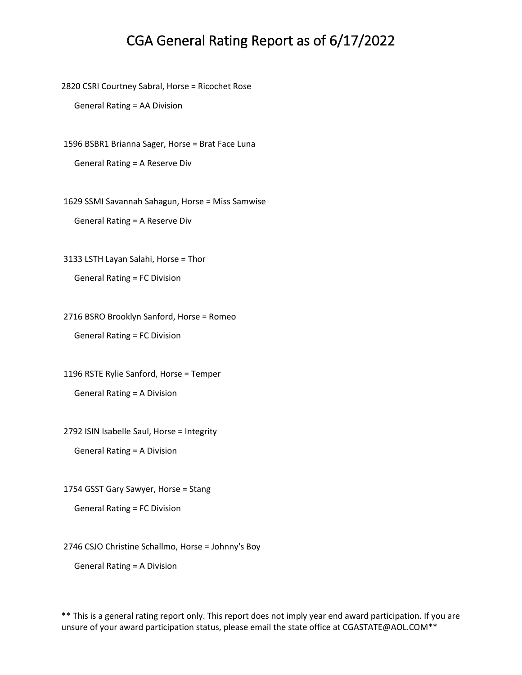2820 CSRI Courtney Sabral, Horse = Ricochet Rose

General Rating = AA Division

1596 BSBR1 Brianna Sager, Horse = Brat Face Luna General Rating = A Reserve Div

1629 SSMI Savannah Sahagun, Horse = Miss Samwise General Rating = A Reserve Div

3133 LSTH Layan Salahi, Horse = Thor

General Rating = FC Division

2716 BSRO Brooklyn Sanford, Horse = Romeo General Rating = FC Division

1196 RSTE Rylie Sanford, Horse = Temper General Rating = A Division

2792 ISIN Isabelle Saul, Horse = Integrity

General Rating = A Division

1754 GSST Gary Sawyer, Horse = Stang

General Rating = FC Division

2746 CSJO Christine Schallmo, Horse = Johnny's Boy

General Rating = A Division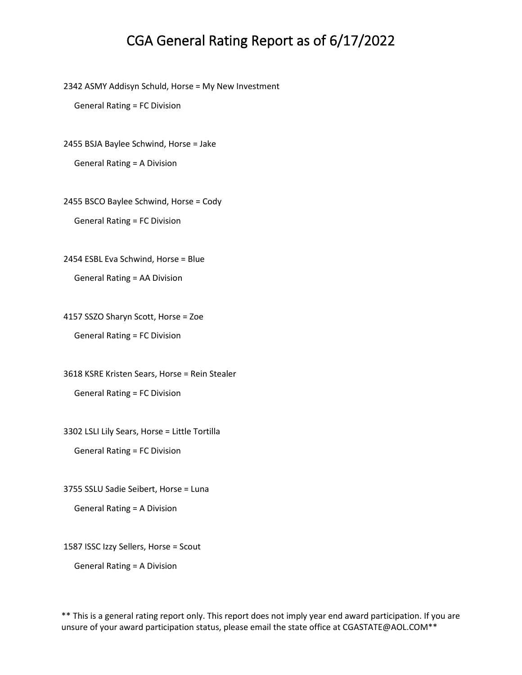2342 ASMY Addisyn Schuld, Horse = My New Investment

General Rating = FC Division

2455 BSJA Baylee Schwind, Horse = Jake

General Rating = A Division

2455 BSCO Baylee Schwind, Horse = Cody General Rating = FC Division

2454 ESBL Eva Schwind, Horse = Blue

General Rating = AA Division

4157 SSZO Sharyn Scott, Horse = Zoe

General Rating = FC Division

3618 KSRE Kristen Sears, Horse = Rein Stealer General Rating = FC Division

3302 LSLI Lily Sears, Horse = Little Tortilla

General Rating = FC Division

3755 SSLU Sadie Seibert, Horse = Luna

General Rating = A Division

1587 ISSC Izzy Sellers, Horse = Scout

General Rating = A Division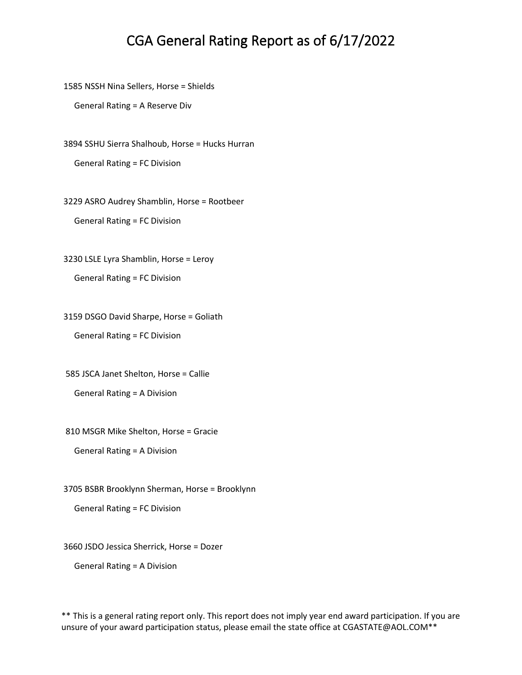1585 NSSH Nina Sellers, Horse = Shields

General Rating = A Reserve Div

3894 SSHU Sierra Shalhoub, Horse = Hucks Hurran General Rating = FC Division

3229 ASRO Audrey Shamblin, Horse = Rootbeer General Rating = FC Division

3230 LSLE Lyra Shamblin, Horse = Leroy General Rating = FC Division

3159 DSGO David Sharpe, Horse = Goliath General Rating = FC Division

585 JSCA Janet Shelton, Horse = Callie General Rating = A Division

810 MSGR Mike Shelton, Horse = Gracie

General Rating = A Division

3705 BSBR Brooklynn Sherman, Horse = Brooklynn

General Rating = FC Division

3660 JSDO Jessica Sherrick, Horse = Dozer

General Rating = A Division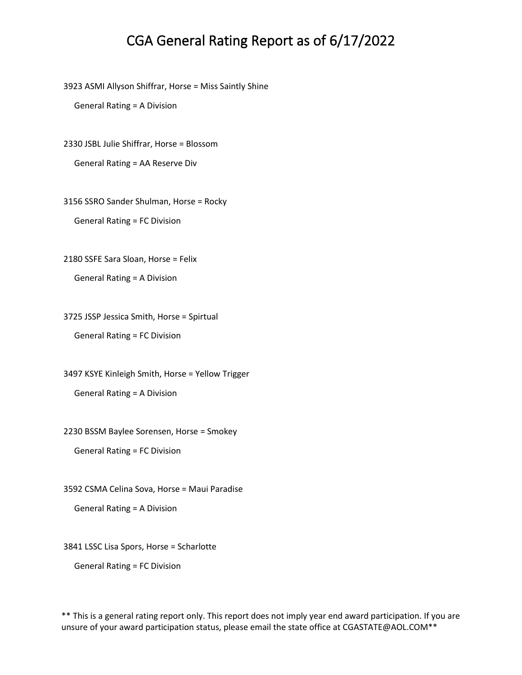3923 ASMI Allyson Shiffrar, Horse = Miss Saintly Shine

General Rating = A Division

2330 JSBL Julie Shiffrar, Horse = Blossom

General Rating = AA Reserve Div

3156 SSRO Sander Shulman, Horse = Rocky General Rating = FC Division

2180 SSFE Sara Sloan, Horse = Felix

General Rating = A Division

3725 JSSP Jessica Smith, Horse = Spirtual General Rating = FC Division

3497 KSYE Kinleigh Smith, Horse = Yellow Trigger General Rating = A Division

2230 BSSM Baylee Sorensen, Horse = Smokey

General Rating = FC Division

3592 CSMA Celina Sova, Horse = Maui Paradise

General Rating = A Division

3841 LSSC Lisa Spors, Horse = Scharlotte

General Rating = FC Division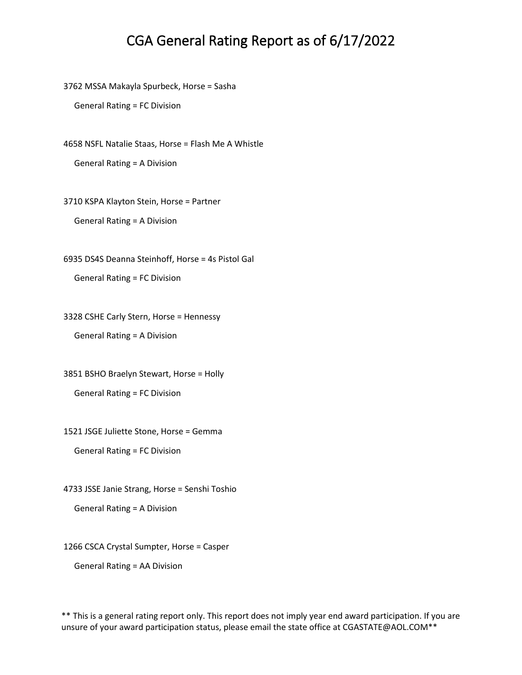3762 MSSA Makayla Spurbeck, Horse = Sasha

General Rating = FC Division

4658 NSFL Natalie Staas, Horse = Flash Me A Whistle General Rating = A Division

3710 KSPA Klayton Stein, Horse = Partner

General Rating = A Division

6935 DS4S Deanna Steinhoff, Horse = 4s Pistol Gal

General Rating = FC Division

3328 CSHE Carly Stern, Horse = Hennessy

General Rating = A Division

3851 BSHO Braelyn Stewart, Horse = Holly General Rating = FC Division

1521 JSGE Juliette Stone, Horse = Gemma

General Rating = FC Division

4733 JSSE Janie Strang, Horse = Senshi Toshio

General Rating = A Division

1266 CSCA Crystal Sumpter, Horse = Casper

General Rating = AA Division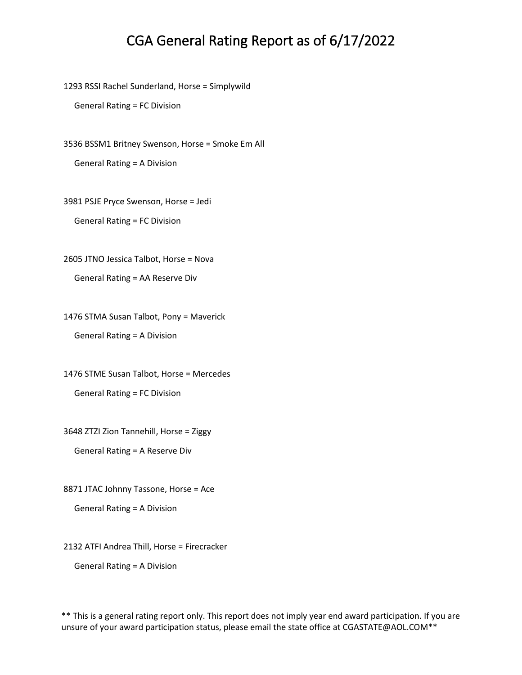1293 RSSI Rachel Sunderland, Horse = Simplywild

General Rating = FC Division

3536 BSSM1 Britney Swenson, Horse = Smoke Em All General Rating = A Division

3981 PSJE Pryce Swenson, Horse = Jedi

General Rating = FC Division

2605 JTNO Jessica Talbot, Horse = Nova

General Rating = AA Reserve Div

1476 STMA Susan Talbot, Pony = Maverick General Rating = A Division

1476 STME Susan Talbot, Horse = Mercedes General Rating = FC Division

3648 ZTZI Zion Tannehill, Horse = Ziggy

General Rating = A Reserve Div

8871 JTAC Johnny Tassone, Horse = Ace

General Rating = A Division

2132 ATFI Andrea Thill, Horse = Firecracker

General Rating = A Division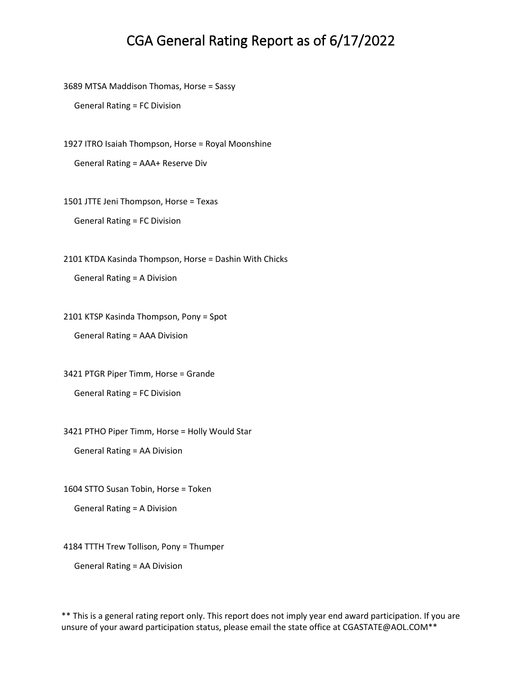3689 MTSA Maddison Thomas, Horse = Sassy

General Rating = FC Division

1927 ITRO Isaiah Thompson, Horse = Royal Moonshine

General Rating = AAA+ Reserve Div

1501 JTTE Jeni Thompson, Horse = Texas

General Rating = FC Division

2101 KTDA Kasinda Thompson, Horse = Dashin With Chicks

General Rating = A Division

2101 KTSP Kasinda Thompson, Pony = Spot

General Rating = AAA Division

3421 PTGR Piper Timm, Horse = Grande General Rating = FC Division

3421 PTHO Piper Timm, Horse = Holly Would Star

General Rating = AA Division

1604 STTO Susan Tobin, Horse = Token

General Rating = A Division

4184 TTTH Trew Tollison, Pony = Thumper

General Rating = AA Division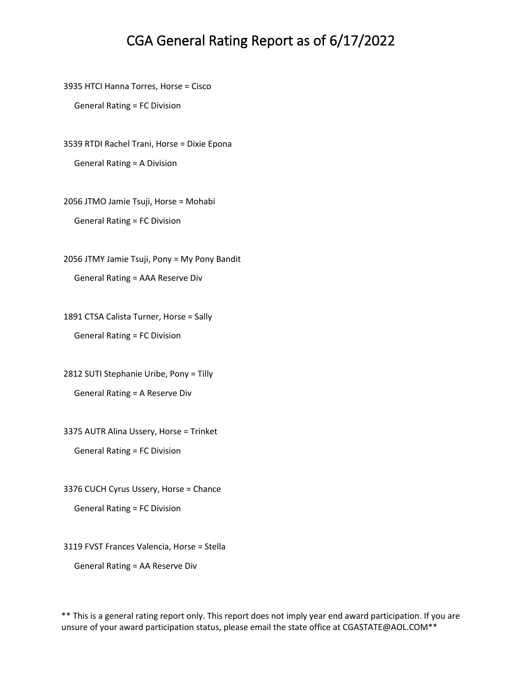3935 HTCI Hanna Torres, Horse = Cisco

General Rating = FC Division

3539 RTDI Rachel Trani, Horse = Dixie Epona General Rating = A Division

2056 JTMO Jamie Tsuji, Horse = Mohabi General Rating = FC Division

2056 JTMY Jamie Tsuji, Pony = My Pony Bandit General Rating = AAA Reserve Div

1891 CTSA Calista Turner, Horse = Sally General Rating = FC Division

2812 SUTI Stephanie Uribe, Pony = Tilly General Rating = A Reserve Div

3375 AUTR Alina Ussery, Horse = Trinket

General Rating = FC Division

3376 CUCH Cyrus Ussery, Horse = Chance

General Rating = FC Division

3119 FVST Frances Valencia, Horse = Stella

General Rating = AA Reserve Div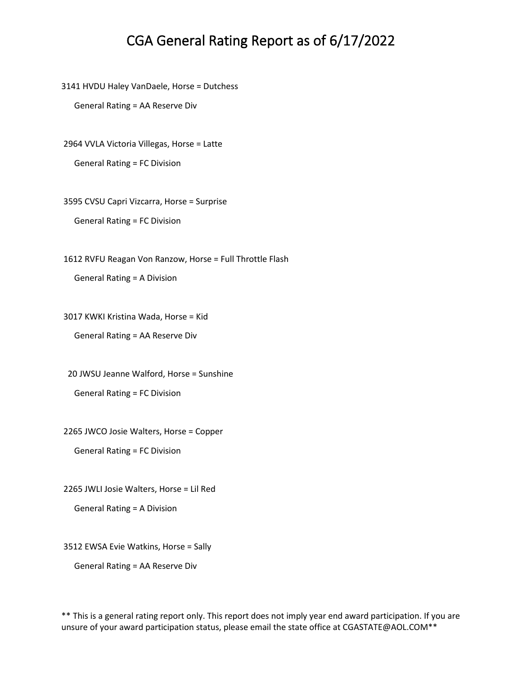3141 HVDU Haley VanDaele, Horse = Dutchess

General Rating = AA Reserve Div

2964 VVLA Victoria Villegas, Horse = Latte

General Rating = FC Division

3595 CVSU Capri Vizcarra, Horse = Surprise General Rating = FC Division

1612 RVFU Reagan Von Ranzow, Horse = Full Throttle Flash

General Rating = A Division

3017 KWKI Kristina Wada, Horse = Kid

General Rating = AA Reserve Div

20 JWSU Jeanne Walford, Horse = Sunshine

General Rating = FC Division

2265 JWCO Josie Walters, Horse = Copper

General Rating = FC Division

2265 JWLI Josie Walters, Horse = Lil Red

General Rating = A Division

3512 EWSA Evie Watkins, Horse = Sally

General Rating = AA Reserve Div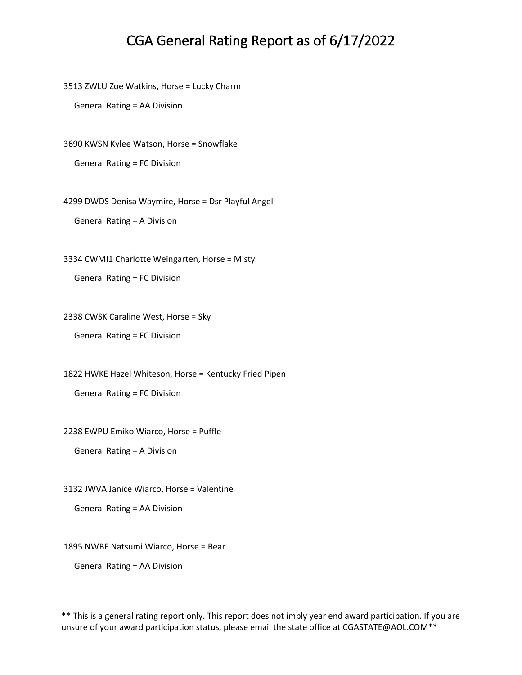3513 ZWLU Zoe Watkins, Horse = Lucky Charm

General Rating = AA Division

3690 KWSN Kylee Watson, Horse = Snowflake

General Rating = FC Division

4299 DWDS Denisa Waymire, Horse = Dsr Playful Angel

General Rating = A Division

3334 CWMI1 Charlotte Weingarten, Horse = Misty

General Rating = FC Division

2338 CWSK Caraline West, Horse = Sky

General Rating = FC Division

1822 HWKE Hazel Whiteson, Horse = Kentucky Fried Pipen

General Rating = FC Division

2238 EWPU Emiko Wiarco, Horse = Puffle

General Rating = A Division

3132 JWVA Janice Wiarco, Horse = Valentine

General Rating = AA Division

1895 NWBE Natsumi Wiarco, Horse = Bear

General Rating = AA Division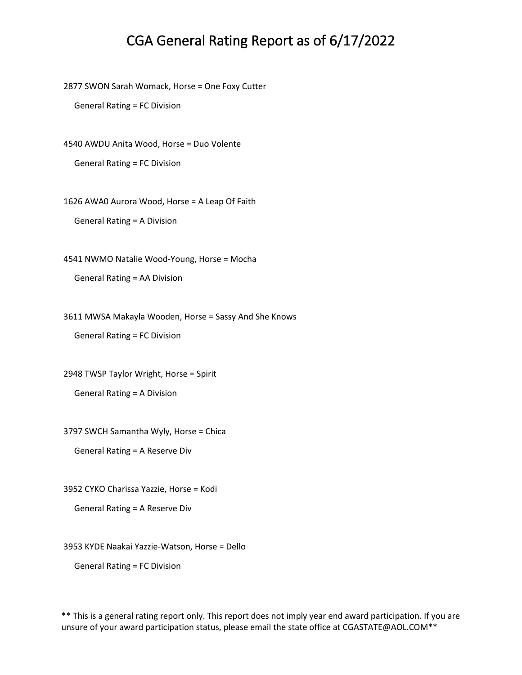2877 SWON Sarah Womack, Horse = One Foxy Cutter

General Rating = FC Division

4540 AWDU Anita Wood, Horse = Duo Volente

General Rating = FC Division

1626 AWA0 Aurora Wood, Horse = A Leap Of Faith

General Rating = A Division

4541 NWMO Natalie Wood-Young, Horse = Mocha

General Rating = AA Division

3611 MWSA Makayla Wooden, Horse = Sassy And She Knows

General Rating = FC Division

2948 TWSP Taylor Wright, Horse = Spirit

General Rating = A Division

3797 SWCH Samantha Wyly, Horse = Chica

General Rating = A Reserve Div

3952 CYKO Charissa Yazzie, Horse = Kodi

General Rating = A Reserve Div

3953 KYDE Naakai Yazzie-Watson, Horse = Dello

General Rating = FC Division